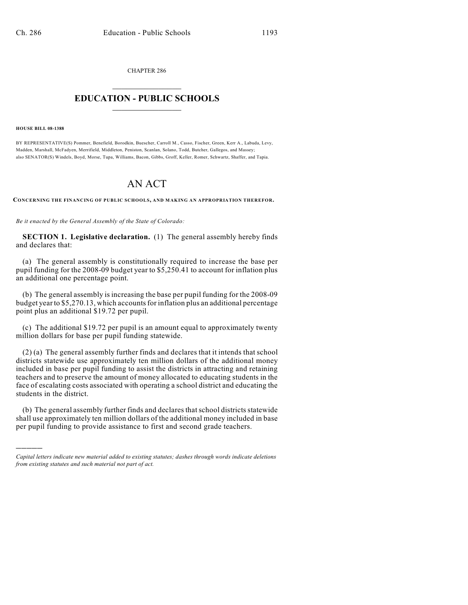CHAPTER 286  $\mathcal{L}_\text{max}$  . The set of the set of the set of the set of the set of the set of the set of the set of the set of the set of the set of the set of the set of the set of the set of the set of the set of the set of the set

# **EDUCATION - PUBLIC SCHOOLS**  $\_$   $\_$   $\_$   $\_$   $\_$   $\_$   $\_$   $\_$   $\_$

**HOUSE BILL 08-1388**

)))))

BY REPRESENTATIVE(S) Pommer, Benefield, Borodkin, Buescher, Carroll M., Casso, Fischer, Green, Kerr A., Labuda, Levy, Madden, Marshall, McFadyen, Merrifield, Middleton, Peniston, Scanlan, Solano, Todd, Butcher, Gallegos, and Massey; also SENATOR(S) Windels, Boyd, Morse, Tupa, Williams, Bacon, Gibbs, Groff, Keller, Romer, Schwartz, Shaffer, and Tapia.

# AN ACT

**CONCERNING THE FINANCING OF PUBLIC SCHOOLS, AND MAKING AN APPROPRIATION THEREFOR.**

*Be it enacted by the General Assembly of the State of Colorado:*

**SECTION 1. Legislative declaration.** (1) The general assembly hereby finds and declares that:

(a) The general assembly is constitutionally required to increase the base per pupil funding for the 2008-09 budget year to \$5,250.41 to account for inflation plus an additional one percentage point.

(b) The general assembly is increasing the base per pupil funding for the 2008-09 budget year to \$5,270.13, which accounts for inflation plus an additional percentage point plus an additional \$19.72 per pupil.

(c) The additional \$19.72 per pupil is an amount equal to approximately twenty million dollars for base per pupil funding statewide.

(2) (a) The general assembly further finds and declares that it intends that school districts statewide use approximately ten million dollars of the additional money included in base per pupil funding to assist the districts in attracting and retaining teachers and to preserve the amount of money allocated to educating students in the face of escalating costs associated with operating a school district and educating the students in the district.

(b) The general assembly further finds and declares that school districts statewide shall use approximately ten million dollars of the additional money included in base per pupil funding to provide assistance to first and second grade teachers.

*Capital letters indicate new material added to existing statutes; dashes through words indicate deletions from existing statutes and such material not part of act.*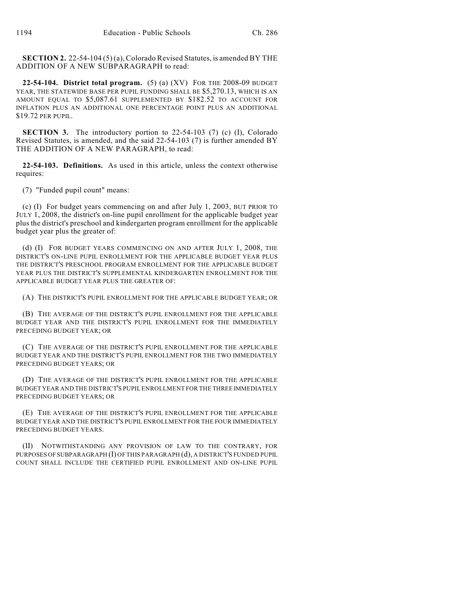**SECTION 2.** 22-54-104 (5) (a), Colorado Revised Statutes, is amended BY THE ADDITION OF A NEW SUBPARAGRAPH to read:

**22-54-104. District total program.** (5) (a) (XV) FOR THE 2008-09 BUDGET YEAR, THE STATEWIDE BASE PER PUPIL FUNDING SHALL BE \$5,270.13, WHICH IS AN AMOUNT EQUAL TO \$5,087.61 SUPPLEMENTED BY \$182.52 TO ACCOUNT FOR INFLATION PLUS AN ADDITIONAL ONE PERCENTAGE POINT PLUS AN ADDITIONAL \$19.72 PER PUPIL.

**SECTION 3.** The introductory portion to 22-54-103 (7) (c) (I), Colorado Revised Statutes, is amended, and the said 22-54-103 (7) is further amended BY THE ADDITION OF A NEW PARAGRAPH, to read:

**22-54-103. Definitions.** As used in this article, unless the context otherwise requires:

(7) "Funded pupil count" means:

(c) (I) For budget years commencing on and after July 1, 2003, BUT PRIOR TO JULY 1, 2008, the district's on-line pupil enrollment for the applicable budget year plus the district's preschool and kindergarten program enrollment for the applicable budget year plus the greater of:

(d) (I) FOR BUDGET YEARS COMMENCING ON AND AFTER JULY 1, 2008, THE DISTRICT'S ON-LINE PUPIL ENROLLMENT FOR THE APPLICABLE BUDGET YEAR PLUS THE DISTRICT'S PRESCHOOL PROGRAM ENROLLMENT FOR THE APPLICABLE BUDGET YEAR PLUS THE DISTRICT'S SUPPLEMENTAL KINDERGARTEN ENROLLMENT FOR THE APPLICABLE BUDGET YEAR PLUS THE GREATER OF:

(A) THE DISTRICT'S PUPIL ENROLLMENT FOR THE APPLICABLE BUDGET YEAR; OR

(B) THE AVERAGE OF THE DISTRICT'S PUPIL ENROLLMENT FOR THE APPLICABLE BUDGET YEAR AND THE DISTRICT'S PUPIL ENROLLMENT FOR THE IMMEDIATELY PRECEDING BUDGET YEAR; OR

(C) THE AVERAGE OF THE DISTRICT'S PUPIL ENROLLMENT FOR THE APPLICABLE BUDGET YEAR AND THE DISTRICT'S PUPIL ENROLLMENT FOR THE TWO IMMEDIATELY PRECEDING BUDGET YEARS; OR

(D) THE AVERAGE OF THE DISTRICT'S PUPIL ENROLLMENT FOR THE APPLICABLE BUDGET YEAR AND THE DISTRICT'S PUPIL ENROLLMENT FOR THE THREE IMMEDIATELY PRECEDING BUDGET YEARS; OR

(E) THE AVERAGE OF THE DISTRICT'S PUPIL ENROLLMENT FOR THE APPLICABLE BUDGET YEAR AND THE DISTRICT'S PUPIL ENROLLMENT FOR THE FOUR IMMEDIATELY PRECEDING BUDGET YEARS.

(II) NOTWITHSTANDING ANY PROVISION OF LAW TO THE CONTRARY, FOR PURPOSES OF SUBPARAGRAPH (I) OF THIS PARAGRAPH (d), A DISTRICT'S FUNDED PUPIL COUNT SHALL INCLUDE THE CERTIFIED PUPIL ENROLLMENT AND ON-LINE PUPIL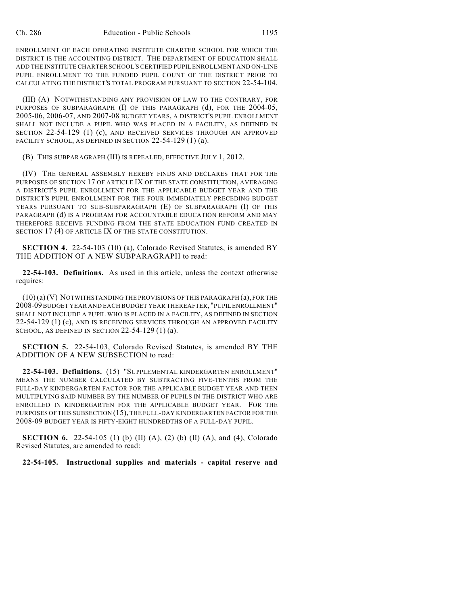ENROLLMENT OF EACH OPERATING INSTITUTE CHARTER SCHOOL FOR WHICH THE DISTRICT IS THE ACCOUNTING DISTRICT. THE DEPARTMENT OF EDUCATION SHALL ADD THE INSTITUTE CHARTER SCHOOL'S CERTIFIED PUPIL ENROLLMENT AND ON-LINE PUPIL ENROLLMENT TO THE FUNDED PUPIL COUNT OF THE DISTRICT PRIOR TO CALCULATING THE DISTRICT'S TOTAL PROGRAM PURSUANT TO SECTION 22-54-104.

(III) (A) NOTWITHSTANDING ANY PROVISION OF LAW TO THE CONTRARY, FOR PURPOSES OF SUBPARAGRAPH (I) OF THIS PARAGRAPH (d), FOR THE 2004-05, 2005-06, 2006-07, AND 2007-08 BUDGET YEARS, A DISTRICT'S PUPIL ENROLLMENT SHALL NOT INCLUDE A PUPIL WHO WAS PLACED IN A FACILITY, AS DEFINED IN SECTION 22-54-129 (1) (c), AND RECEIVED SERVICES THROUGH AN APPROVED FACILITY SCHOOL, AS DEFINED IN SECTION 22-54-129 (1) (a).

(B) THIS SUBPARAGRAPH (III) IS REPEALED, EFFECTIVE JULY 1, 2012.

(IV) THE GENERAL ASSEMBLY HEREBY FINDS AND DECLARES THAT FOR THE PURPOSES OF SECTION 17 OF ARTICLE IX OF THE STATE CONSTITUTION, AVERAGING A DISTRICT'S PUPIL ENROLLMENT FOR THE APPLICABLE BUDGET YEAR AND THE DISTRICT'S PUPIL ENROLLMENT FOR THE FOUR IMMEDIATELY PRECEDING BUDGET YEARS PURSUANT TO SUB-SUBPARAGRAPH (E) OF SUBPARAGRAPH (I) OF THIS PARAGRAPH (d) IS A PROGRAM FOR ACCOUNTABLE EDUCATION REFORM AND MAY THEREFORE RECEIVE FUNDING FROM THE STATE EDUCATION FUND CREATED IN SECTION 17 (4) OF ARTICLE IX OF THE STATE CONSTITUTION.

**SECTION 4.** 22-54-103 (10) (a), Colorado Revised Statutes, is amended BY THE ADDITION OF A NEW SUBPARAGRAPH to read:

**22-54-103. Definitions.** As used in this article, unless the context otherwise requires:

(10) (a) (V) NOTWITHSTANDING THE PROVISIONS OF THIS PARAGRAPH (a), FOR THE 2008-09 BUDGET YEAR AND EACH BUDGET YEAR THEREAFTER, "PUPIL ENROLLMENT" SHALL NOT INCLUDE A PUPIL WHO IS PLACED IN A FACILITY, AS DEFINED IN SECTION 22-54-129 (1) (c), AND IS RECEIVING SERVICES THROUGH AN APPROVED FACILITY SCHOOL, AS DEFINED IN SECTION  $22-54-129(1)(a)$ .

**SECTION 5.** 22-54-103, Colorado Revised Statutes, is amended BY THE ADDITION OF A NEW SUBSECTION to read:

**22-54-103. Definitions.** (15) "SUPPLEMENTAL KINDERGARTEN ENROLLMENT" MEANS THE NUMBER CALCULATED BY SUBTRACTING FIVE-TENTHS FROM THE FULL-DAY KINDERGARTEN FACTOR FOR THE APPLICABLE BUDGET YEAR AND THEN MULTIPLYING SAID NUMBER BY THE NUMBER OF PUPILS IN THE DISTRICT WHO ARE ENROLLED IN KINDERGARTEN FOR THE APPLICABLE BUDGET YEAR. FOR THE PURPOSES OF THIS SUBSECTION (15), THE FULL-DAY KINDERGARTEN FACTOR FOR THE 2008-09 BUDGET YEAR IS FIFTY-EIGHT HUNDREDTHS OF A FULL-DAY PUPIL.

**SECTION 6.** 22-54-105 (1) (b) (II) (A), (2) (b) (II) (A), and (4), Colorado Revised Statutes, are amended to read:

**22-54-105. Instructional supplies and materials - capital reserve and**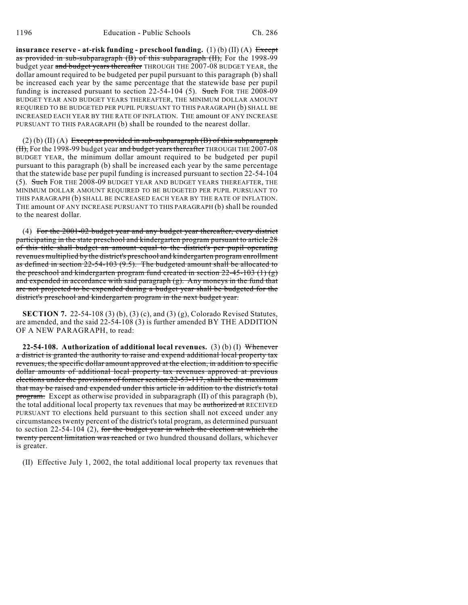**insurance reserve - at-risk funding - preschool funding.** (1) (b) (II) (A) Except as provided in sub-subparagraph (B) of this subparagraph (II), For the 1998-99 budget year and budget years thereafter THROUGH THE 2007-08 BUDGET YEAR, the dollar amount required to be budgeted per pupil pursuant to this paragraph (b) shall be increased each year by the same percentage that the statewide base per pupil funding is increased pursuant to section 22-54-104 (5). Such FOR THE 2008-09 BUDGET YEAR AND BUDGET YEARS THEREAFTER, THE MINIMUM DOLLAR AMOUNT REQUIRED TO BE BUDGETED PER PUPIL PURSUANT TO THIS PARAGRAPH (b) SHALL BE INCREASED EACH YEAR BY THE RATE OF INFLATION. THE amount OF ANY INCREASE PURSUANT TO THIS PARAGRAPH (b) shall be rounded to the nearest dollar.

 $(2)$  (b)  $(II)$  (A) Except as provided in sub-subparagraph (B) of this subparagraph  $(H)$ , For the 1998-99 budget year and budget years thereafter THROUGH THE 2007-08 BUDGET YEAR, the minimum dollar amount required to be budgeted per pupil pursuant to this paragraph (b) shall be increased each year by the same percentage that the statewide base per pupil funding is increased pursuant to section 22-54-104 (5). Such FOR THE 2008-09 BUDGET YEAR AND BUDGET YEARS THEREAFTER, THE MINIMUM DOLLAR AMOUNT REQUIRED TO BE BUDGETED PER PUPIL PURSUANT TO THIS PARAGRAPH (b) SHALL BE INCREASED EACH YEAR BY THE RATE OF INFLATION. THE amount OF ANY INCREASE PURSUANT TO THIS PARAGRAPH (b) shall be rounded to the nearest dollar.

(4) For the 2001-02 budget year and any budget year thereafter, every district participating in the state preschool and kindergarten program pursuant to article 28 of this title shall budget an amount equal to the district's per pupil operating revenues multiplied by the district's preschool and kindergarten program enrollment as defined in section 22-54-103 (9.5). The budgeted amount shall be allocated to the preschool and kindergarten program fund created in section 22-45-103 (1) (g) and expended in accordance with said paragraph (g). Any moneys in the fund that are not projected to be expended during a budget year shall be budgeted for the district's preschool and kindergarten program in the next budget year.

**SECTION 7.** 22-54-108 (3) (b), (3) (c), and (3) (g), Colorado Revised Statutes, are amended, and the said 22-54-108 (3) is further amended BY THE ADDITION OF A NEW PARAGRAPH, to read:

**22-54-108. Authorization of additional local revenues.** (3) (b) (I) Whenever a district is granted the authority to raise and expend additional local property tax revenues, the specific dollar amount approved at the election, in addition to specific dollar amounts of additional local property tax revenues approved at previous elections under the provisions of former section 22-53-117, shall be the maximum that may be raised and expended under this article in addition to the district's total program. Except as otherwise provided in subparagraph (II) of this paragraph (b), the total additional local property tax revenues that may be authorized at RECEIVED PURSUANT TO elections held pursuant to this section shall not exceed under any circumstances twenty percent of the district's total program, as determined pursuant to section  $22-54-104$  (2), for the budget year in which the election at which the twenty percent limitation was reached or two hundred thousand dollars, whichever is greater.

(II) Effective July 1, 2002, the total additional local property tax revenues that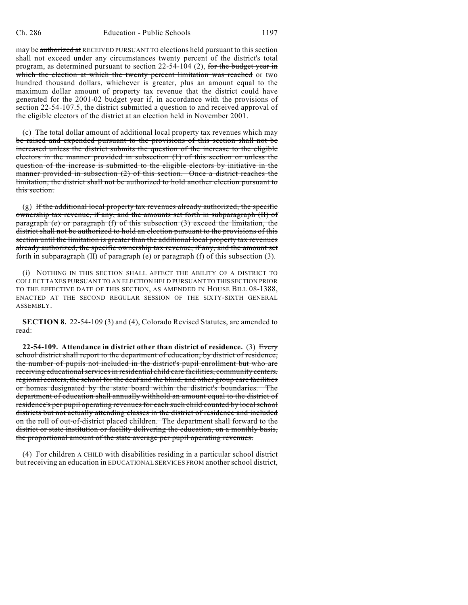may be authorized at RECEIVED PURSUANT TO elections held pursuant to this section shall not exceed under any circumstances twenty percent of the district's total program, as determined pursuant to section 22-54-104 (2), for the budget year in which the election at which the twenty percent limitation was reached or two hundred thousand dollars, whichever is greater, plus an amount equal to the maximum dollar amount of property tax revenue that the district could have generated for the 2001-02 budget year if, in accordance with the provisions of section 22-54-107.5, the district submitted a question to and received approval of the eligible electors of the district at an election held in November 2001.

(c) The total dollar amount of additional local property tax revenues which may be raised and expended pursuant to the provisions of this section shall not be increased unless the district submits the question of the increase to the eligible electors in the manner provided in subsection (1) of this section or unless the question of the increase is submitted to the eligible electors by initiative in the manner provided in subsection (2) of this section. Once a district reaches the limitation, the district shall not be authorized to hold another election pursuant to this section.

(g) If the additional local property tax revenues already authorized, the specific ownership tax revenue, if any, and the amounts set forth in subparagraph (II) of paragraph (e) or paragraph (f) of this subsection (3) exceed the limitation, the district shall not be authorized to hold an election pursuant to the provisions of this section until the limitation is greater than the additional local property tax revenues already authorized, the specific ownership tax revenue, if any, and the amount set forth in subparagraph (II) of paragraph (e) or paragraph (f) of this subsection (3).

(i) NOTHING IN THIS SECTION SHALL AFFECT THE ABILITY OF A DISTRICT TO COLLECT TAXES PURSUANT TO AN ELECTION HELD PURSUANT TO THIS SECTION PRIOR TO THE EFFECTIVE DATE OF THIS SECTION, AS AMENDED IN HOUSE BILL 08-1388, ENACTED AT THE SECOND REGULAR SESSION OF THE SIXTY-SIXTH GENERAL ASSEMBLY.

**SECTION 8.** 22-54-109 (3) and (4), Colorado Revised Statutes, are amended to read:

**22-54-109. Attendance in district other than district of residence.** (3) Every school district shall report to the department of education, by district of residence, the number of pupils not included in the district's pupil enrollment but who are receiving educational services in residential child care facilities, community centers, regional centers, the school for the deaf and the blind, and other group care facilities or homes designated by the state board within the district's boundaries. The department of education shall annually withhold an amount equal to the district of residence's per pupil operating revenues for each such child counted by local school districts but not actually attending classes in the district of residence and included on the roll of out-of-district placed children. The department shall forward to the district or state institution or facility delivering the education, on a monthly basis, the proportional amount of the state average per pupil operating revenues.

(4) For children A CHILD with disabilities residing in a particular school district but receiving an education in EDUCATIONAL SERVICES FROM another school district,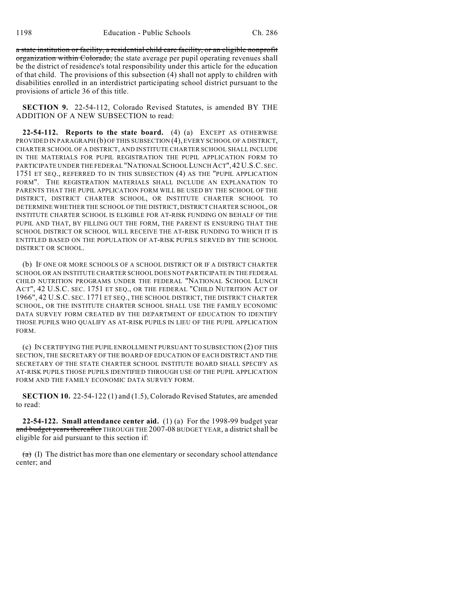a state institution or facility, a residential child care facility, or an eligible nonprofit organization within Colorado, the state average per pupil operating revenues shall be the district of residence's total responsibility under this article for the education of that child. The provisions of this subsection (4) shall not apply to children with disabilities enrolled in an interdistrict participating school district pursuant to the provisions of article 36 of this title.

**SECTION 9.** 22-54-112, Colorado Revised Statutes, is amended BY THE ADDITION OF A NEW SUBSECTION to read:

**22-54-112. Reports to the state board.** (4) (a) EXCEPT AS OTHERWISE PROVIDED IN PARAGRAPH (b) OF THIS SUBSECTION (4), EVERY SCHOOL OF A DISTRICT, CHARTER SCHOOL OF A DISTRICT, AND INSTITUTE CHARTER SCHOOL SHALL INCLUDE IN THE MATERIALS FOR PUPIL REGISTRATION THE PUPIL APPLICATION FORM TO PARTICIPATE UNDER THE FEDERAL "NATIONAL SCHOOL LUNCH ACT",42 U.S.C. SEC. 1751 ET SEQ., REFERRED TO IN THIS SUBSECTION (4) AS THE "PUPIL APPLICATION FORM". THE REGISTRATION MATERIALS SHALL INCLUDE AN EXPLANATION TO PARENTS THAT THE PUPIL APPLICATION FORM WILL BE USED BY THE SCHOOL OF THE DISTRICT, DISTRICT CHARTER SCHOOL, OR INSTITUTE CHARTER SCHOOL TO DETERMINE WHETHER THE SCHOOL OF THE DISTRICT, DISTRICT CHARTER SCHOOL, OR INSTITUTE CHARTER SCHOOL IS ELIGIBLE FOR AT-RISK FUNDING ON BEHALF OF THE PUPIL AND THAT, BY FILLING OUT THE FORM, THE PARENT IS ENSURING THAT THE SCHOOL DISTRICT OR SCHOOL WILL RECEIVE THE AT-RISK FUNDING TO WHICH IT IS ENTITLED BASED ON THE POPULATION OF AT-RISK PUPILS SERVED BY THE SCHOOL DISTRICT OR SCHOOL.

(b) IF ONE OR MORE SCHOOLS OF A SCHOOL DISTRICT OR IF A DISTRICT CHARTER SCHOOL OR AN INSTITUTE CHARTER SCHOOL DOES NOT PARTICIPATE IN THE FEDERAL CHILD NUTRITION PROGRAMS UNDER THE FEDERAL "NATIONAL SCHOOL LUNCH ACT", 42 U.S.C. SEC. 1751 ET SEQ., OR THE FEDERAL "CHILD NUTRITION ACT OF 1966", 42 U.S.C. SEC. 1771 ET SEQ., THE SCHOOL DISTRICT, THE DISTRICT CHARTER SCHOOL, OR THE INSTITUTE CHARTER SCHOOL SHALL USE THE FAMILY ECONOMIC DATA SURVEY FORM CREATED BY THE DEPARTMENT OF EDUCATION TO IDENTIFY THOSE PUPILS WHO QUALIFY AS AT-RISK PUPILS IN LIEU OF THE PUPIL APPLICATION FORM.

(c) IN CERTIFYING THE PUPIL ENROLLMENT PURSUANT TO SUBSECTION (2) OF THIS SECTION, THE SECRETARY OF THE BOARD OF EDUCATION OF EACH DISTRICT AND THE SECRETARY OF THE STATE CHARTER SCHOOL INSTITUTE BOARD SHALL SPECIFY AS AT-RISK PUPILS THOSE PUPILS IDENTIFIED THROUGH USE OF THE PUPIL APPLICATION FORM AND THE FAMILY ECONOMIC DATA SURVEY FORM.

**SECTION 10.** 22-54-122 (1) and (1.5), Colorado Revised Statutes, are amended to read:

**22-54-122. Small attendance center aid.** (1) (a) For the 1998-99 budget year and budget years thereafter THROUGH THE 2007-08 BUDGET YEAR, a district shall be eligible for aid pursuant to this section if:

 $(a)$  (I) The district has more than one elementary or secondary school attendance center; and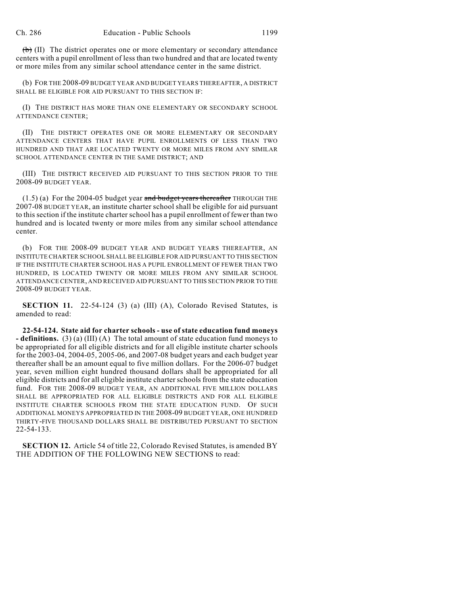$(b)$  (II) The district operates one or more elementary or secondary attendance centers with a pupil enrollment of less than two hundred and that are located twenty or more miles from any similar school attendance center in the same district.

(b) FOR THE 2008-09 BUDGET YEAR AND BUDGET YEARS THEREAFTER, A DISTRICT SHALL BE ELIGIBLE FOR AID PURSUANT TO THIS SECTION IF:

(I) THE DISTRICT HAS MORE THAN ONE ELEMENTARY OR SECONDARY SCHOOL ATTENDANCE CENTER;

(II) THE DISTRICT OPERATES ONE OR MORE ELEMENTARY OR SECONDARY ATTENDANCE CENTERS THAT HAVE PUPIL ENROLLMENTS OF LESS THAN TWO HUNDRED AND THAT ARE LOCATED TWENTY OR MORE MILES FROM ANY SIMILAR SCHOOL ATTENDANCE CENTER IN THE SAME DISTRICT; AND

(III) THE DISTRICT RECEIVED AID PURSUANT TO THIS SECTION PRIOR TO THE 2008-09 BUDGET YEAR.

 $(1.5)$  (a) For the 2004-05 budget year and budget years thereafter THROUGH THE 2007-08 BUDGET YEAR, an institute charter school shall be eligible for aid pursuant to this section if the institute charter school has a pupil enrollment of fewer than two hundred and is located twenty or more miles from any similar school attendance center.

(b) FOR THE 2008-09 BUDGET YEAR AND BUDGET YEARS THEREAFTER, AN INSTITUTE CHARTER SCHOOL SHALL BE ELIGIBLE FOR AID PURSUANT TO THIS SECTION IF THE INSTITUTE CHARTER SCHOOL HAS A PUPIL ENROLLMENT OF FEWER THAN TWO HUNDRED, IS LOCATED TWENTY OR MORE MILES FROM ANY SIMILAR SCHOOL ATTENDANCE CENTER, AND RECEIVED AID PURSUANT TO THIS SECTION PRIOR TO THE 2008-09 BUDGET YEAR.

**SECTION 11.** 22-54-124 (3) (a) (III) (A), Colorado Revised Statutes, is amended to read:

**22-54-124. State aid for charter schools - use of state education fund moneys - definitions.** (3) (a) (III) (A) The total amount of state education fund moneys to be appropriated for all eligible districts and for all eligible institute charter schools for the 2003-04, 2004-05, 2005-06, and 2007-08 budget years and each budget year thereafter shall be an amount equal to five million dollars. For the 2006-07 budget year, seven million eight hundred thousand dollars shall be appropriated for all eligible districts and for all eligible institute charter schools from the state education fund. FOR THE 2008-09 BUDGET YEAR, AN ADDITIONAL FIVE MILLION DOLLARS SHALL BE APPROPRIATED FOR ALL ELIGIBLE DISTRICTS AND FOR ALL ELIGIBLE INSTITUTE CHARTER SCHOOLS FROM THE STATE EDUCATION FUND. OF SUCH ADDITIONAL MONEYS APPROPRIATED IN THE 2008-09 BUDGET YEAR, ONE HUNDRED THIRTY-FIVE THOUSAND DOLLARS SHALL BE DISTRIBUTED PURSUANT TO SECTION 22-54-133.

**SECTION 12.** Article 54 of title 22, Colorado Revised Statutes, is amended BY THE ADDITION OF THE FOLLOWING NEW SECTIONS to read: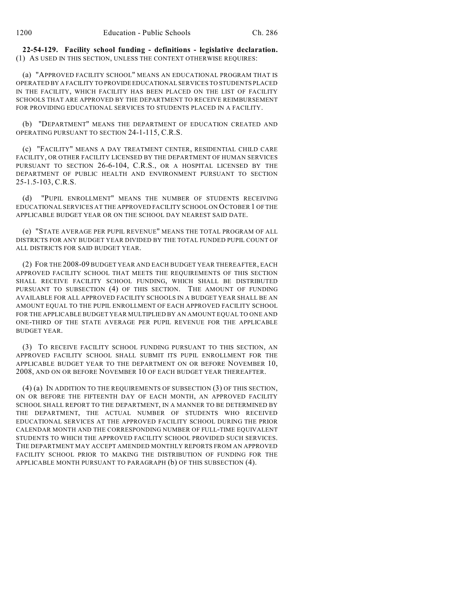**22-54-129. Facility school funding - definitions - legislative declaration.** (1) AS USED IN THIS SECTION, UNLESS THE CONTEXT OTHERWISE REQUIRES:

(a) "APPROVED FACILITY SCHOOL" MEANS AN EDUCATIONAL PROGRAM THAT IS OPERATED BY A FACILITY TO PROVIDE EDUCATIONAL SERVICES TO STUDENTS PLACED IN THE FACILITY, WHICH FACILITY HAS BEEN PLACED ON THE LIST OF FACILITY SCHOOLS THAT ARE APPROVED BY THE DEPARTMENT TO RECEIVE REIMBURSEMENT FOR PROVIDING EDUCATIONAL SERVICES TO STUDENTS PLACED IN A FACILITY.

(b) "DEPARTMENT" MEANS THE DEPARTMENT OF EDUCATION CREATED AND OPERATING PURSUANT TO SECTION 24-1-115, C.R.S.

(c) "FACILITY" MEANS A DAY TREATMENT CENTER, RESIDENTIAL CHILD CARE FACILITY, OR OTHER FACILITY LICENSED BY THE DEPARTMENT OF HUMAN SERVICES PURSUANT TO SECTION 26-6-104, C.R.S., OR A HOSPITAL LICENSED BY THE DEPARTMENT OF PUBLIC HEALTH AND ENVIRONMENT PURSUANT TO SECTION 25-1.5-103, C.R.S.

(d) "PUPIL ENROLLMENT" MEANS THE NUMBER OF STUDENTS RECEIVING EDUCATIONAL SERVICES AT THE APPROVED FACILITY SCHOOL ON OCTOBER 1 OF THE APPLICABLE BUDGET YEAR OR ON THE SCHOOL DAY NEAREST SAID DATE.

(e) "STATE AVERAGE PER PUPIL REVENUE" MEANS THE TOTAL PROGRAM OF ALL DISTRICTS FOR ANY BUDGET YEAR DIVIDED BY THE TOTAL FUNDED PUPIL COUNT OF ALL DISTRICTS FOR SAID BUDGET YEAR.

(2) FOR THE 2008-09 BUDGET YEAR AND EACH BUDGET YEAR THEREAFTER, EACH APPROVED FACILITY SCHOOL THAT MEETS THE REQUIREMENTS OF THIS SECTION SHALL RECEIVE FACILITY SCHOOL FUNDING, WHICH SHALL BE DISTRIBUTED PURSUANT TO SUBSECTION (4) OF THIS SECTION. THE AMOUNT OF FUNDING AVAILABLE FOR ALL APPROVED FACILITY SCHOOLS IN A BUDGET YEAR SHALL BE AN AMOUNT EQUAL TO THE PUPIL ENROLLMENT OF EACH APPROVED FACILITY SCHOOL FOR THE APPLICABLE BUDGET YEAR MULTIPLIED BY AN AMOUNT EQUAL TO ONE AND ONE-THIRD OF THE STATE AVERAGE PER PUPIL REVENUE FOR THE APPLICABLE BUDGET YEAR.

(3) TO RECEIVE FACILITY SCHOOL FUNDING PURSUANT TO THIS SECTION, AN APPROVED FACILITY SCHOOL SHALL SUBMIT ITS PUPIL ENROLLMENT FOR THE APPLICABLE BUDGET YEAR TO THE DEPARTMENT ON OR BEFORE NOVEMBER 10, 2008, AND ON OR BEFORE NOVEMBER 10 OF EACH BUDGET YEAR THEREAFTER.

(4) (a) IN ADDITION TO THE REQUIREMENTS OF SUBSECTION (3) OF THIS SECTION, ON OR BEFORE THE FIFTEENTH DAY OF EACH MONTH, AN APPROVED FACILITY SCHOOL SHALL REPORT TO THE DEPARTMENT, IN A MANNER TO BE DETERMINED BY THE DEPARTMENT, THE ACTUAL NUMBER OF STUDENTS WHO RECEIVED EDUCATIONAL SERVICES AT THE APPROVED FACILITY SCHOOL DURING THE PRIOR CALENDAR MONTH AND THE CORRESPONDING NUMBER OF FULL-TIME EQUIVALENT STUDENTS TO WHICH THE APPROVED FACILITY SCHOOL PROVIDED SUCH SERVICES. THE DEPARTMENT MAY ACCEPT AMENDED MONTHLY REPORTS FROM AN APPROVED FACILITY SCHOOL PRIOR TO MAKING THE DISTRIBUTION OF FUNDING FOR THE APPLICABLE MONTH PURSUANT TO PARAGRAPH (b) OF THIS SUBSECTION (4).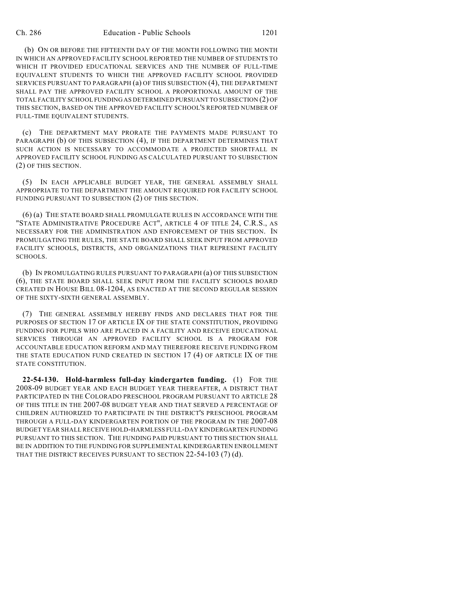(b) ON OR BEFORE THE FIFTEENTH DAY OF THE MONTH FOLLOWING THE MONTH IN WHICH AN APPROVED FACILITY SCHOOL REPORTED THE NUMBER OF STUDENTS TO WHICH IT PROVIDED EDUCATIONAL SERVICES AND THE NUMBER OF FULL-TIME EQUIVALENT STUDENTS TO WHICH THE APPROVED FACILITY SCHOOL PROVIDED SERVICES PURSUANT TO PARAGRAPH (a) OF THIS SUBSECTION (4), THE DEPARTMENT SHALL PAY THE APPROVED FACILITY SCHOOL A PROPORTIONAL AMOUNT OF THE TOTAL FACILITY SCHOOL FUNDING AS DETERMINED PURSUANT TO SUBSECTION (2) OF THIS SECTION, BASED ON THE APPROVED FACILITY SCHOOL'S REPORTED NUMBER OF FULL-TIME EQUIVALENT STUDENTS.

(c) THE DEPARTMENT MAY PRORATE THE PAYMENTS MADE PURSUANT TO PARAGRAPH (b) OF THIS SUBSECTION (4), IF THE DEPARTMENT DETERMINES THAT SUCH ACTION IS NECESSARY TO ACCOMMODATE A PROJECTED SHORTFALL IN APPROVED FACILITY SCHOOL FUNDING AS CALCULATED PURSUANT TO SUBSECTION (2) OF THIS SECTION.

(5) IN EACH APPLICABLE BUDGET YEAR, THE GENERAL ASSEMBLY SHALL APPROPRIATE TO THE DEPARTMENT THE AMOUNT REQUIRED FOR FACILITY SCHOOL FUNDING PURSUANT TO SUBSECTION (2) OF THIS SECTION.

(6) (a) THE STATE BOARD SHALL PROMULGATE RULES IN ACCORDANCE WITH THE "STATE ADMINISTRATIVE PROCEDURE ACT", ARTICLE 4 OF TITLE 24, C.R.S., AS NECESSARY FOR THE ADMINISTRATION AND ENFORCEMENT OF THIS SECTION. IN PROMULGATING THE RULES, THE STATE BOARD SHALL SEEK INPUT FROM APPROVED FACILITY SCHOOLS, DISTRICTS, AND ORGANIZATIONS THAT REPRESENT FACILITY SCHOOLS.

(b) IN PROMULGATING RULES PURSUANT TO PARAGRAPH (a) OF THIS SUBSECTION (6), THE STATE BOARD SHALL SEEK INPUT FROM THE FACILITY SCHOOLS BOARD CREATED IN HOUSE BILL 08-1204, AS ENACTED AT THE SECOND REGULAR SESSION OF THE SIXTY-SIXTH GENERAL ASSEMBLY.

(7) THE GENERAL ASSEMBLY HEREBY FINDS AND DECLARES THAT FOR THE PURPOSES OF SECTION 17 OF ARTICLE IX OF THE STATE CONSTITUTION, PROVIDING FUNDING FOR PUPILS WHO ARE PLACED IN A FACILITY AND RECEIVE EDUCATIONAL SERVICES THROUGH AN APPROVED FACILITY SCHOOL IS A PROGRAM FOR ACCOUNTABLE EDUCATION REFORM AND MAY THEREFORE RECEIVE FUNDING FROM THE STATE EDUCATION FUND CREATED IN SECTION 17 (4) OF ARTICLE IX OF THE STATE CONSTITUTION.

**22-54-130. Hold-harmless full-day kindergarten funding.** (1) FOR THE 2008-09 BUDGET YEAR AND EACH BUDGET YEAR THEREAFTER, A DISTRICT THAT PARTICIPATED IN THE COLORADO PRESCHOOL PROGRAM PURSUANT TO ARTICLE 28 OF THIS TITLE IN THE 2007-08 BUDGET YEAR AND THAT SERVED A PERCENTAGE OF CHILDREN AUTHORIZED TO PARTICIPATE IN THE DISTRICT'S PRESCHOOL PROGRAM THROUGH A FULL-DAY KINDERGARTEN PORTION OF THE PROGRAM IN THE 2007-08 BUDGET YEAR SHALL RECEIVE HOLD-HARMLESS FULL-DAY KINDERGARTEN FUNDING PURSUANT TO THIS SECTION. THE FUNDING PAID PURSUANT TO THIS SECTION SHALL BE IN ADDITION TO THE FUNDING FOR SUPPLEMENTAL KINDERGARTEN ENROLLMENT THAT THE DISTRICT RECEIVES PURSUANT TO SECTION 22-54-103 (7) (d).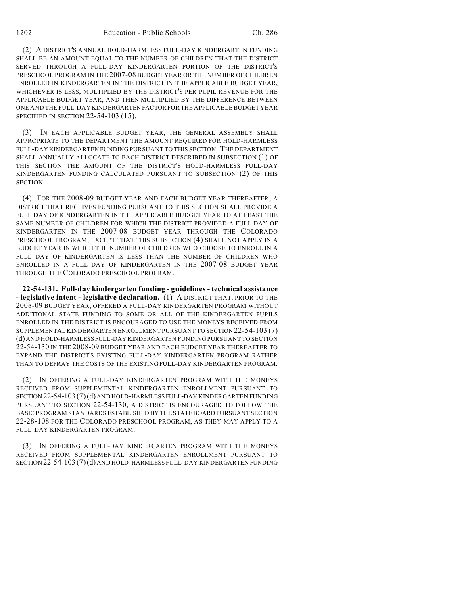(2) A DISTRICT'S ANNUAL HOLD-HARMLESS FULL-DAY KINDERGARTEN FUNDING SHALL BE AN AMOUNT EQUAL TO THE NUMBER OF CHILDREN THAT THE DISTRICT SERVED THROUGH A FULL-DAY KINDERGARTEN PORTION OF THE DISTRICT'S PRESCHOOL PROGRAM IN THE 2007-08 BUDGET YEAR OR THE NUMBER OF CHILDREN ENROLLED IN KINDERGARTEN IN THE DISTRICT IN THE APPLICABLE BUDGET YEAR, WHICHEVER IS LESS, MULTIPLIED BY THE DISTRICT'S PER PUPIL REVENUE FOR THE APPLICABLE BUDGET YEAR, AND THEN MULTIPLIED BY THE DIFFERENCE BETWEEN ONE AND THE FULL-DAY KINDERGARTEN FACTOR FOR THE APPLICABLE BUDGET YEAR SPECIFIED IN SECTION 22-54-103 (15).

(3) IN EACH APPLICABLE BUDGET YEAR, THE GENERAL ASSEMBLY SHALL APPROPRIATE TO THE DEPARTMENT THE AMOUNT REQUIRED FOR HOLD-HARMLESS FULL-DAY KINDERGARTEN FUNDING PURSUANT TO THIS SECTION. THE DEPARTMENT SHALL ANNUALLY ALLOCATE TO EACH DISTRICT DESCRIBED IN SUBSECTION (1) OF THIS SECTION THE AMOUNT OF THE DISTRICT'S HOLD-HARMLESS FULL-DAY KINDERGARTEN FUNDING CALCULATED PURSUANT TO SUBSECTION (2) OF THIS SECTION.

(4) FOR THE 2008-09 BUDGET YEAR AND EACH BUDGET YEAR THEREAFTER, A DISTRICT THAT RECEIVES FUNDING PURSUANT TO THIS SECTION SHALL PROVIDE A FULL DAY OF KINDERGARTEN IN THE APPLICABLE BUDGET YEAR TO AT LEAST THE SAME NUMBER OF CHILDREN FOR WHICH THE DISTRICT PROVIDED A FULL DAY OF KINDERGARTEN IN THE 2007-08 BUDGET YEAR THROUGH THE COLORADO PRESCHOOL PROGRAM; EXCEPT THAT THIS SUBSECTION (4) SHALL NOT APPLY IN A BUDGET YEAR IN WHICH THE NUMBER OF CHILDREN WHO CHOOSE TO ENROLL IN A FULL DAY OF KINDERGARTEN IS LESS THAN THE NUMBER OF CHILDREN WHO ENROLLED IN A FULL DAY OF KINDERGARTEN IN THE 2007-08 BUDGET YEAR THROUGH THE COLORADO PRESCHOOL PROGRAM.

**22-54-131. Full-day kindergarten funding - guidelines - technical assistance - legislative intent - legislative declaration.** (1) A DISTRICT THAT, PRIOR TO THE 2008-09 BUDGET YEAR, OFFERED A FULL-DAY KINDERGARTEN PROGRAM WITHOUT ADDITIONAL STATE FUNDING TO SOME OR ALL OF THE KINDERGARTEN PUPILS ENROLLED IN THE DISTRICT IS ENCOURAGED TO USE THE MONEYS RECEIVED FROM SUPPLEMENTAL KINDERGARTEN ENROLLMENT PURSUANT TO SECTION 22-54-103 (7) (d) AND HOLD-HARMLESS FULL-DAY KINDERGARTEN FUNDING PURSUANT TO SECTION 22-54-130 IN THE 2008-09 BUDGET YEAR AND EACH BUDGET YEAR THEREAFTER TO EXPAND THE DISTRICT'S EXISTING FULL-DAY KINDERGARTEN PROGRAM RATHER THAN TO DEFRAY THE COSTS OF THE EXISTING FULL-DAY KINDERGARTEN PROGRAM.

(2) IN OFFERING A FULL-DAY KINDERGARTEN PROGRAM WITH THE MONEYS RECEIVED FROM SUPPLEMENTAL KINDERGARTEN ENROLLMENT PURSUANT TO SECTION 22-54-103 (7)(d) AND HOLD-HARMLESS FULL-DAY KINDERGARTEN FUNDING PURSUANT TO SECTION 22-54-130, A DISTRICT IS ENCOURAGED TO FOLLOW THE BASIC PROGRAM STANDARDS ESTABLISHED BY THE STATE BOARD PURSUANT SECTION 22-28-108 FOR THE COLORADO PRESCHOOL PROGRAM, AS THEY MAY APPLY TO A FULL-DAY KINDERGARTEN PROGRAM.

(3) IN OFFERING A FULL-DAY KINDERGARTEN PROGRAM WITH THE MONEYS RECEIVED FROM SUPPLEMENTAL KINDERGARTEN ENROLLMENT PURSUANT TO SECTION 22-54-103 (7)(d) AND HOLD-HARMLESS FULL-DAY KINDERGARTEN FUNDING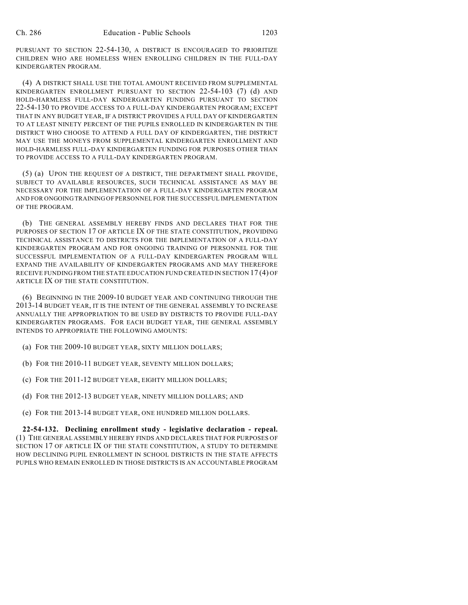PURSUANT TO SECTION 22-54-130, A DISTRICT IS ENCOURAGED TO PRIORITIZE CHILDREN WHO ARE HOMELESS WHEN ENROLLING CHILDREN IN THE FULL-DAY KINDERGARTEN PROGRAM.

(4) A DISTRICT SHALL USE THE TOTAL AMOUNT RECEIVED FROM SUPPLEMENTAL KINDERGARTEN ENROLLMENT PURSUANT TO SECTION 22-54-103 (7) (d) AND HOLD-HARMLESS FULL-DAY KINDERGARTEN FUNDING PURSUANT TO SECTION 22-54-130 TO PROVIDE ACCESS TO A FULL-DAY KINDERGARTEN PROGRAM; EXCEPT THAT IN ANY BUDGET YEAR, IF A DISTRICT PROVIDES A FULL DAY OF KINDERGARTEN TO AT LEAST NINETY PERCENT OF THE PUPILS ENROLLED IN KINDERGARTEN IN THE DISTRICT WHO CHOOSE TO ATTEND A FULL DAY OF KINDERGARTEN, THE DISTRICT MAY USE THE MONEYS FROM SUPPLEMENTAL KINDERGARTEN ENROLLMENT AND HOLD-HARMLESS FULL-DAY KINDERGARTEN FUNDING FOR PURPOSES OTHER THAN TO PROVIDE ACCESS TO A FULL-DAY KINDERGARTEN PROGRAM.

(5) (a) UPON THE REQUEST OF A DISTRICT, THE DEPARTMENT SHALL PROVIDE, SUBJECT TO AVAILABLE RESOURCES, SUCH TECHNICAL ASSISTANCE AS MAY BE NECESSARY FOR THE IMPLEMENTATION OF A FULL-DAY KINDERGARTEN PROGRAM AND FOR ONGOING TRAINING OF PERSONNEL FOR THE SUCCESSFUL IMPLEMENTATION OF THE PROGRAM.

(b) THE GENERAL ASSEMBLY HEREBY FINDS AND DECLARES THAT FOR THE PURPOSES OF SECTION 17 OF ARTICLE IX OF THE STATE CONSTITUTION, PROVIDING TECHNICAL ASSISTANCE TO DISTRICTS FOR THE IMPLEMENTATION OF A FULL-DAY KINDERGARTEN PROGRAM AND FOR ONGOING TRAINING OF PERSONNEL FOR THE SUCCESSFUL IMPLEMENTATION OF A FULL-DAY KINDERGARTEN PROGRAM WILL EXPAND THE AVAILABILITY OF KINDERGARTEN PROGRAMS AND MAY THEREFORE RECEIVE FUNDING FROM THE STATE EDUCATION FUND CREATED IN SECTION 17 (4) OF ARTICLE IX OF THE STATE CONSTITUTION.

(6) BEGINNING IN THE 2009-10 BUDGET YEAR AND CONTINUING THROUGH THE 2013-14 BUDGET YEAR, IT IS THE INTENT OF THE GENERAL ASSEMBLY TO INCREASE ANNUALLY THE APPROPRIATION TO BE USED BY DISTRICTS TO PROVIDE FULL-DAY KINDERGARTEN PROGRAMS. FOR EACH BUDGET YEAR, THE GENERAL ASSEMBLY INTENDS TO APPROPRIATE THE FOLLOWING AMOUNTS:

- (a) FOR THE 2009-10 BUDGET YEAR, SIXTY MILLION DOLLARS;
- (b) FOR THE 2010-11 BUDGET YEAR, SEVENTY MILLION DOLLARS;
- (c) FOR THE 2011-12 BUDGET YEAR, EIGHTY MILLION DOLLARS;
- (d) FOR THE 2012-13 BUDGET YEAR, NINETY MILLION DOLLARS; AND
- (e) FOR THE 2013-14 BUDGET YEAR, ONE HUNDRED MILLION DOLLARS.

**22-54-132. Declining enrollment study - legislative declaration - repeal.** (1) THE GENERAL ASSEMBLY HEREBY FINDS AND DECLARES THAT FOR PURPOSES OF SECTION 17 OF ARTICLE IX OF THE STATE CONSTITUTION, A STUDY TO DETERMINE HOW DECLINING PUPIL ENROLLMENT IN SCHOOL DISTRICTS IN THE STATE AFFECTS PUPILS WHO REMAIN ENROLLED IN THOSE DISTRICTS IS AN ACCOUNTABLE PROGRAM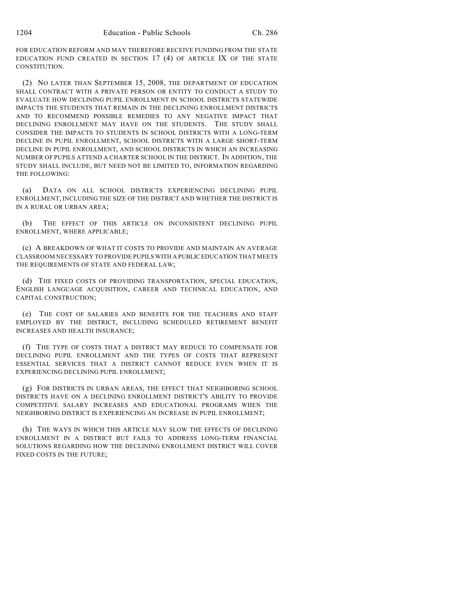FOR EDUCATION REFORM AND MAY THEREFORE RECEIVE FUNDING FROM THE STATE EDUCATION FUND CREATED IN SECTION 17 (4) OF ARTICLE IX OF THE STATE CONSTITUTION.

(2) NO LATER THAN SEPTEMBER 15, 2008, THE DEPARTMENT OF EDUCATION SHALL CONTRACT WITH A PRIVATE PERSON OR ENTITY TO CONDUCT A STUDY TO EVALUATE HOW DECLINING PUPIL ENROLLMENT IN SCHOOL DISTRICTS STATEWIDE IMPACTS THE STUDENTS THAT REMAIN IN THE DECLINING ENROLLMENT DISTRICTS AND TO RECOMMEND POSSIBLE REMEDIES TO ANY NEGATIVE IMPACT THAT DECLINING ENROLLMENT MAY HAVE ON THE STUDENTS. THE STUDY SHALL CONSIDER THE IMPACTS TO STUDENTS IN SCHOOL DISTRICTS WITH A LONG-TERM DECLINE IN PUPIL ENROLLMENT, SCHOOL DISTRICTS WITH A LARGE SHORT-TERM DECLINE IN PUPIL ENROLLMENT, AND SCHOOL DISTRICTS IN WHICH AN INCREASING NUMBER OF PUPILS ATTEND A CHARTER SCHOOL IN THE DISTRICT. IN ADDITION, THE STUDY SHALL INCLUDE, BUT NEED NOT BE LIMITED TO, INFORMATION REGARDING THE FOLLOWING:

(a) DATA ON ALL SCHOOL DISTRICTS EXPERIENCING DECLINING PUPIL ENROLLMENT, INCLUDING THE SIZE OF THE DISTRICT AND WHETHER THE DISTRICT IS IN A RURAL OR URBAN AREA;

(b) THE EFFECT OF THIS ARTICLE ON INCONSISTENT DECLINING PUPIL ENROLLMENT, WHERE APPLICABLE;

(c) A BREAKDOWN OF WHAT IT COSTS TO PROVIDE AND MAINTAIN AN AVERAGE CLASSROOM NECESSARY TO PROVIDE PUPILS WITH A PUBLIC EDUCATION THAT MEETS THE REQUIREMENTS OF STATE AND FEDERAL LAW;

(d) THE FIXED COSTS OF PROVIDING TRANSPORTATION, SPECIAL EDUCATION, ENGLISH LANGUAGE ACQUISITION, CAREER AND TECHNICAL EDUCATION, AND CAPITAL CONSTRUCTION;

(e) THE COST OF SALARIES AND BENEFITS FOR THE TEACHERS AND STAFF EMPLOYED BY THE DISTRICT, INCLUDING SCHEDULED RETIREMENT BENEFIT INCREASES AND HEALTH INSURANCE;

(f) THE TYPE OF COSTS THAT A DISTRICT MAY REDUCE TO COMPENSATE FOR DECLINING PUPIL ENROLLMENT AND THE TYPES OF COSTS THAT REPRESENT ESSENTIAL SERVICES THAT A DISTRICT CANNOT REDUCE EVEN WHEN IT IS EXPERIENCING DECLINING PUPIL ENROLLMENT;

(g) FOR DISTRICTS IN URBAN AREAS, THE EFFECT THAT NEIGHBORING SCHOOL DISTRICTS HAVE ON A DECLINING ENROLLMENT DISTRICT'S ABILITY TO PROVIDE COMPETITIVE SALARY INCREASES AND EDUCATIONAL PROGRAMS WHEN THE NEIGHBORING DISTRICT IS EXPERIENCING AN INCREASE IN PUPIL ENROLLMENT;

(h) THE WAYS IN WHICH THIS ARTICLE MAY SLOW THE EFFECTS OF DECLINING ENROLLMENT IN A DISTRICT BUT FAILS TO ADDRESS LONG-TERM FINANCIAL SOLUTIONS REGARDING HOW THE DECLINING ENROLLMENT DISTRICT WILL COVER FIXED COSTS IN THE FUTURE;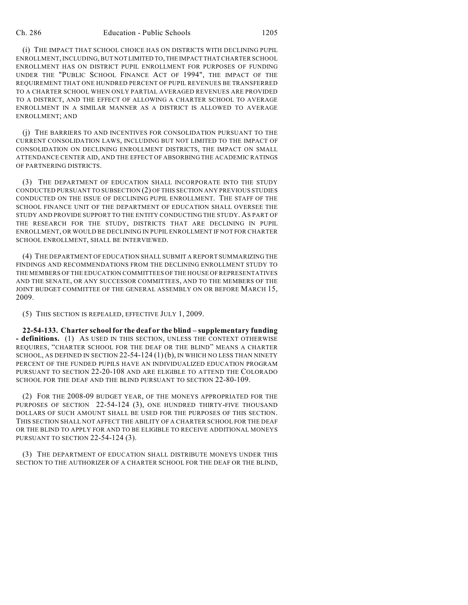(i) THE IMPACT THAT SCHOOL CHOICE HAS ON DISTRICTS WITH DECLINING PUPIL ENROLLMENT, INCLUDING, BUT NOT LIMITED TO, THE IMPACT THAT CHARTER SCHOOL ENROLLMENT HAS ON DISTRICT PUPIL ENROLLMENT FOR PURPOSES OF FUNDING UNDER THE "PUBLIC SCHOOL FINANCE ACT OF 1994", THE IMPACT OF THE REQUIREMENT THAT ONE HUNDRED PERCENT OF PUPIL REVENUES BE TRANSFERRED TO A CHARTER SCHOOL WHEN ONLY PARTIAL AVERAGED REVENUES ARE PROVIDED TO A DISTRICT, AND THE EFFECT OF ALLOWING A CHARTER SCHOOL TO AVERAGE ENROLLMENT IN A SIMILAR MANNER AS A DISTRICT IS ALLOWED TO AVERAGE ENROLLMENT; AND

(j) THE BARRIERS TO AND INCENTIVES FOR CONSOLIDATION PURSUANT TO THE CURRENT CONSOLIDATION LAWS, INCLUDING BUT NOT LIMITED TO THE IMPACT OF CONSOLIDATION ON DECLINING ENROLLMENT DISTRICTS, THE IMPACT ON SMALL ATTENDANCE CENTER AID, AND THE EFFECT OF ABSORBING THE ACADEMIC RATINGS OF PARTNERING DISTRICTS.

(3) THE DEPARTMENT OF EDUCATION SHALL INCORPORATE INTO THE STUDY CONDUCTED PURSUANT TO SUBSECTION (2) OF THIS SECTION ANY PREVIOUS STUDIES CONDUCTED ON THE ISSUE OF DECLINING PUPIL ENROLLMENT. THE STAFF OF THE SCHOOL FINANCE UNIT OF THE DEPARTMENT OF EDUCATION SHALL OVERSEE THE STUDY AND PROVIDE SUPPORT TO THE ENTITY CONDUCTING THE STUDY. AS PART OF THE RESEARCH FOR THE STUDY, DISTRICTS THAT ARE DECLINING IN PUPIL ENROLLMENT, OR WOULD BE DECLINING IN PUPIL ENROLLMENT IF NOT FOR CHARTER SCHOOL ENROLLMENT, SHALL BE INTERVIEWED.

(4) THE DEPARTMENT OFEDUCATION SHALL SUBMIT A REPORT SUMMARIZING THE FINDINGS AND RECOMMENDATIONS FROM THE DECLINING ENROLLMENT STUDY TO THE MEMBERS OF THE EDUCATION COMMITTEES OF THE HOUSE OF REPRESENTATIVES AND THE SENATE, OR ANY SUCCESSOR COMMITTEES, AND TO THE MEMBERS OF THE JOINT BUDGET COMMITTEE OF THE GENERAL ASSEMBLY ON OR BEFORE MARCH 15, 2009.

(5) THIS SECTION IS REPEALED, EFFECTIVE JULY 1, 2009.

**22-54-133. Charter school for the deaf or the blind – supplementary funding - definitions.** (1) AS USED IN THIS SECTION, UNLESS THE CONTEXT OTHERWISE REQUIRES, "CHARTER SCHOOL FOR THE DEAF OR THE BLIND" MEANS A CHARTER SCHOOL, AS DEFINED IN SECTION  $22-54-124(1)(b)$ , IN WHICH NO LESS THAN NINETY PERCENT OF THE FUNDED PUPILS HAVE AN INDIVIDUALIZED EDUCATION PROGRAM PURSUANT TO SECTION 22-20-108 AND ARE ELIGIBLE TO ATTEND THE COLORADO SCHOOL FOR THE DEAF AND THE BLIND PURSUANT TO SECTION 22-80-109.

(2) FOR THE 2008-09 BUDGET YEAR, OF THE MONEYS APPROPRIATED FOR THE PURPOSES OF SECTION 22-54-124 (3), ONE HUNDRED THIRTY-FIVE THOUSAND DOLLARS OF SUCH AMOUNT SHALL BE USED FOR THE PURPOSES OF THIS SECTION. THIS SECTION SHALL NOT AFFECT THE ABILITY OF A CHARTER SCHOOL FOR THE DEAF OR THE BLIND TO APPLY FOR AND TO BE ELIGIBLE TO RECEIVE ADDITIONAL MONEYS PURSUANT TO SECTION 22-54-124 (3).

(3) THE DEPARTMENT OF EDUCATION SHALL DISTRIBUTE MONEYS UNDER THIS SECTION TO THE AUTHORIZER OF A CHARTER SCHOOL FOR THE DEAF OR THE BLIND,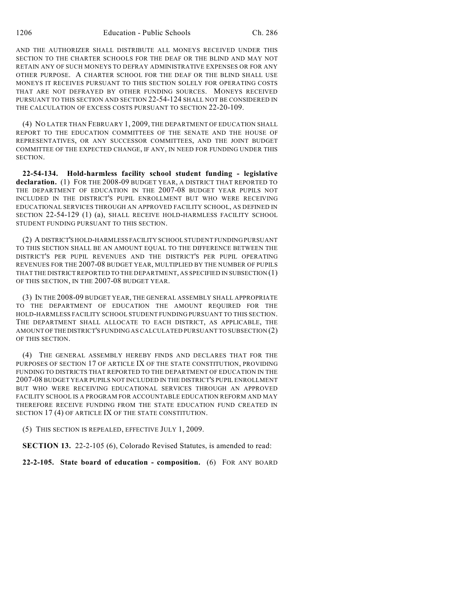AND THE AUTHORIZER SHALL DISTRIBUTE ALL MONEYS RECEIVED UNDER THIS SECTION TO THE CHARTER SCHOOLS FOR THE DEAF OR THE BLIND AND MAY NOT RETAIN ANY OF SUCH MONEYS TO DEFRAY ADMINISTRATIVE EXPENSES OR FOR ANY OTHER PURPOSE. A CHARTER SCHOOL FOR THE DEAF OR THE BLIND SHALL USE MONEYS IT RECEIVES PURSUANT TO THIS SECTION SOLELY FOR OPERATING COSTS THAT ARE NOT DEFRAYED BY OTHER FUNDING SOURCES. MONEYS RECEIVED PURSUANT TO THIS SECTION AND SECTION 22-54-124 SHALL NOT BE CONSIDERED IN THE CALCULATION OF EXCESS COSTS PURSUANT TO SECTION 22-20-109.

(4) NO LATER THAN FEBRUARY 1, 2009, THE DEPARTMENT OF EDUCATION SHALL REPORT TO THE EDUCATION COMMITTEES OF THE SENATE AND THE HOUSE OF REPRESENTATIVES, OR ANY SUCCESSOR COMMITTEES, AND THE JOINT BUDGET COMMITTEE OF THE EXPECTED CHANGE, IF ANY, IN NEED FOR FUNDING UNDER THIS SECTION.

**22-54-134. Hold-harmless facility school student funding - legislative declaration.** (1) FOR THE 2008-09 BUDGET YEAR, A DISTRICT THAT REPORTED TO THE DEPARTMENT OF EDUCATION IN THE 2007-08 BUDGET YEAR PUPILS NOT INCLUDED IN THE DISTRICT'S PUPIL ENROLLMENT BUT WHO WERE RECEIVING EDUCATIONAL SERVICES THROUGH AN APPROVED FACILITY SCHOOL, AS DEFINED IN SECTION 22-54-129 (1) (a), SHALL RECEIVE HOLD-HARMLESS FACILITY SCHOOL STUDENT FUNDING PURSUANT TO THIS SECTION.

(2) A DISTRICT'S HOLD-HARMLESS FACILITY SCHOOL STUDENT FUNDING PURSUANT TO THIS SECTION SHALL BE AN AMOUNT EQUAL TO THE DIFFERENCE BETWEEN THE DISTRICT'S PER PUPIL REVENUES AND THE DISTRICT'S PER PUPIL OPERATING REVENUES FOR THE 2007-08 BUDGET YEAR, MULTIPLIED BY THE NUMBER OF PUPILS THAT THE DISTRICT REPORTED TO THE DEPARTMENT, AS SPECIFIED IN SUBSECTION (1) OF THIS SECTION, IN THE 2007-08 BUDGET YEAR.

(3) IN THE 2008-09 BUDGET YEAR, THE GENERAL ASSEMBLY SHALL APPROPRIATE TO THE DEPARTMENT OF EDUCATION THE AMOUNT REQUIRED FOR THE HOLD-HARMLESS FACILITY SCHOOL STUDENT FUNDING PURSUANT TO THIS SECTION. THE DEPARTMENT SHALL ALLOCATE TO EACH DISTRICT, AS APPLICABLE, THE AMOUNT OF THE DISTRICT'S FUNDING AS CALCULATED PURSUANT TO SUBSECTION (2) OF THIS SECTION.

(4) THE GENERAL ASSEMBLY HEREBY FINDS AND DECLARES THAT FOR THE PURPOSES OF SECTION 17 OF ARTICLE IX OF THE STATE CONSTITUTION, PROVIDING FUNDING TO DISTRICTS THAT REPORTED TO THE DEPARTMENT OF EDUCATION IN THE 2007-08 BUDGET YEAR PUPILS NOT INCLUDED IN THE DISTRICT'S PUPIL ENROLLMENT BUT WHO WERE RECEIVING EDUCATIONAL SERVICES THROUGH AN APPROVED FACILITY SCHOOL IS A PROGRAM FOR ACCOUNTABLE EDUCATION REFORM AND MAY THEREFORE RECEIVE FUNDING FROM THE STATE EDUCATION FUND CREATED IN SECTION 17 (4) OF ARTICLE IX OF THE STATE CONSTITUTION.

(5) THIS SECTION IS REPEALED, EFFECTIVE JULY 1, 2009.

**SECTION 13.** 22-2-105 (6), Colorado Revised Statutes, is amended to read:

**22-2-105. State board of education - composition.** (6) FOR ANY BOARD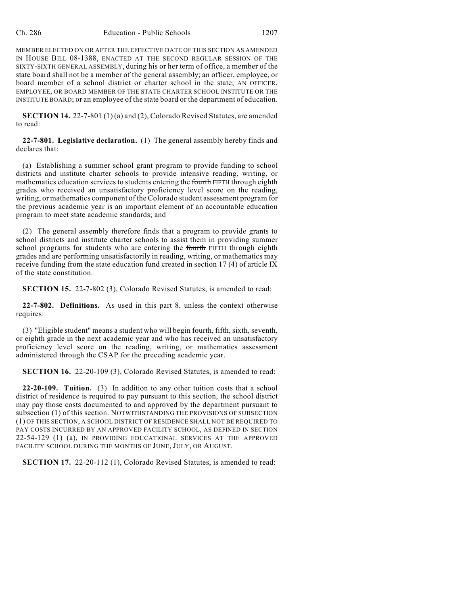MEMBER ELECTED ON OR AFTER THE EFFECTIVE DATE OF THIS SECTION AS AMENDED IN HOUSE BILL 08-1388, ENACTED AT THE SECOND REGULAR SESSION OF THE SIXTY-SIXTH GENERAL ASSEMBLY, during his or her term of office, a member of the state board shall not be a member of the general assembly; an officer, employee, or board member of a school district or charter school in the state; AN OFFICER, EMPLOYEE, OR BOARD MEMBER OF THE STATE CHARTER SCHOOL INSTITUTE OR THE INSTITUTE BOARD; or an employee of the state board or the department of education.

**SECTION 14.** 22-7-801 (1) (a) and (2), Colorado Revised Statutes, are amended to read:

**22-7-801. Legislative declaration.** (1) The general assembly hereby finds and declares that:

(a) Establishing a summer school grant program to provide funding to school districts and institute charter schools to provide intensive reading, writing, or mathematics education services to students entering the fourth FIFTH through eighth grades who received an unsatisfactory proficiency level score on the reading, writing, or mathematics component of the Colorado student assessment program for the previous academic year is an important element of an accountable education program to meet state academic standards; and

(2) The general assembly therefore finds that a program to provide grants to school districts and institute charter schools to assist them in providing summer school programs for students who are entering the fourth FIFTH through eighth grades and are performing unsatisfactorily in reading, writing, or mathematics may receive funding from the state education fund created in section 17 (4) of article IX of the state constitution.

**SECTION 15.** 22-7-802 (3), Colorado Revised Statutes, is amended to read:

**22-7-802. Definitions.** As used in this part 8, unless the context otherwise requires:

(3) "Eligible student" means a student who will begin fourth, fifth, sixth, seventh, or eighth grade in the next academic year and who has received an unsatisfactory proficiency level score on the reading, writing, or mathematics assessment administered through the CSAP for the preceding academic year.

**SECTION 16.** 22-20-109 (3), Colorado Revised Statutes, is amended to read:

**22-20-109. Tuition.** (3) In addition to any other tuition costs that a school district of residence is required to pay pursuant to this section, the school district may pay those costs documented to and approved by the department pursuant to subsection (1) of this section. NOTWITHSTANDING THE PROVISIONS OF SUBSECTION (1) OF THIS SECTION, A SCHOOL DISTRICT OF RESIDENCE SHALL NOT BE REQUIRED TO PAY COSTS INCURRED BY AN APPROVED FACILITY SCHOOL, AS DEFINED IN SECTION 22-54-129 (1) (a), IN PROVIDING EDUCATIONAL SERVICES AT THE APPROVED FACILITY SCHOOL DURING THE MONTHS OF JUNE, JULY, OR AUGUST.

**SECTION 17.** 22-20-112 (1), Colorado Revised Statutes, is amended to read: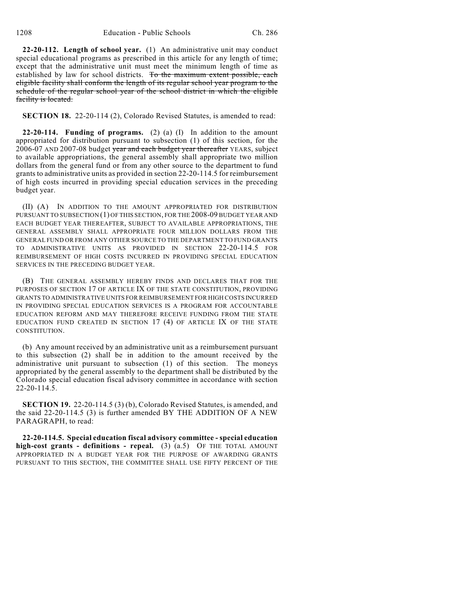**22-20-112. Length of school year.** (1) An administrative unit may conduct special educational programs as prescribed in this article for any length of time; except that the administrative unit must meet the minimum length of time as established by law for school districts. To the maximum extent possible, each eligible facility shall conform the length of its regular school year program to the schedule of the regular school year of the school district in which the eligible facility is located.

**SECTION 18.** 22-20-114 (2), Colorado Revised Statutes, is amended to read:

**22-20-114. Funding of programs.** (2) (a) (I) In addition to the amount appropriated for distribution pursuant to subsection (1) of this section, for the  $2006-07$  AND 2007-08 budget year and each budget year thereafter YEARS, subject to available appropriations, the general assembly shall appropriate two million dollars from the general fund or from any other source to the department to fund grants to administrative units as provided in section 22-20-114.5 for reimbursement of high costs incurred in providing special education services in the preceding budget year.

(II) (A) IN ADDITION TO THE AMOUNT APPROPRIATED FOR DISTRIBUTION PURSUANT TO SUBSECTION (1) OF THIS SECTION, FOR THE 2008-09 BUDGET YEAR AND EACH BUDGET YEAR THEREAFTER, SUBJECT TO AVAILABLE APPROPRIATIONS, THE GENERAL ASSEMBLY SHALL APPROPRIATE FOUR MILLION DOLLARS FROM THE GENERAL FUND OR FROM ANY OTHER SOURCE TO THE DEPARTMENT TO FUND GRANTS TO ADMINISTRATIVE UNITS AS PROVIDED IN SECTION 22-20-114.5 FOR REIMBURSEMENT OF HIGH COSTS INCURRED IN PROVIDING SPECIAL EDUCATION SERVICES IN THE PRECEDING BUDGET YEAR.

(B) THE GENERAL ASSEMBLY HEREBY FINDS AND DECLARES THAT FOR THE PURPOSES OF SECTION 17 OF ARTICLE IX OF THE STATE CONSTITUTION, PROVIDING GRANTS TO ADMINISTRATIVE UNITS FOR REIMBURSEMENT FOR HIGH COSTS INCURRED IN PROVIDING SPECIAL EDUCATION SERVICES IS A PROGRAM FOR ACCOUNTABLE EDUCATION REFORM AND MAY THEREFORE RECEIVE FUNDING FROM THE STATE EDUCATION FUND CREATED IN SECTION 17 (4) OF ARTICLE IX OF THE STATE CONSTITUTION.

(b) Any amount received by an administrative unit as a reimbursement pursuant to this subsection (2) shall be in addition to the amount received by the administrative unit pursuant to subsection (1) of this section. The moneys appropriated by the general assembly to the department shall be distributed by the Colorado special education fiscal advisory committee in accordance with section  $22 - 20 - 114.5$ .

**SECTION 19.** 22-20-114.5 (3) (b), Colorado Revised Statutes, is amended, and the said 22-20-114.5 (3) is further amended BY THE ADDITION OF A NEW PARAGRAPH, to read:

**22-20-114.5. Special education fiscal advisory committee - special education high-cost grants - definitions - repeal.** (3) (a.5) OF THE TOTAL AMOUNT APPROPRIATED IN A BUDGET YEAR FOR THE PURPOSE OF AWARDING GRANTS PURSUANT TO THIS SECTION, THE COMMITTEE SHALL USE FIFTY PERCENT OF THE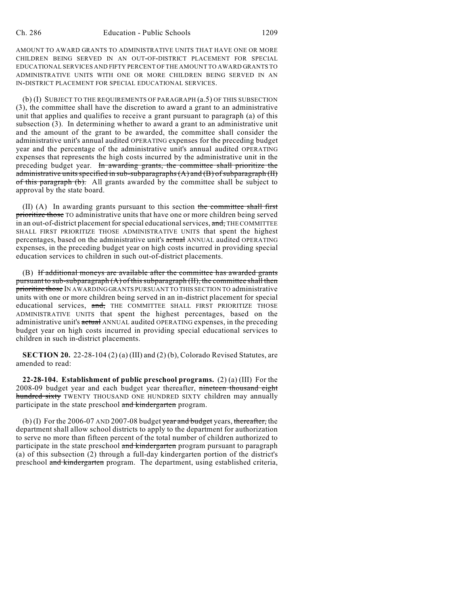AMOUNT TO AWARD GRANTS TO ADMINISTRATIVE UNITS THAT HAVE ONE OR MORE CHILDREN BEING SERVED IN AN OUT-OF-DISTRICT PLACEMENT FOR SPECIAL EDUCATIONAL SERVICES AND FIFTY PERCENT OF THE AMOUNT TO AWARD GRANTS TO ADMINISTRATIVE UNITS WITH ONE OR MORE CHILDREN BEING SERVED IN AN IN-DISTRICT PLACEMENT FOR SPECIAL EDUCATIONAL SERVICES.

(b) (I) SUBJECT TO THE REQUIREMENTS OF PARAGRAPH (a.5) OF THIS SUBSECTION (3), the committee shall have the discretion to award a grant to an administrative unit that applies and qualifies to receive a grant pursuant to paragraph (a) of this subsection (3). In determining whether to award a grant to an administrative unit and the amount of the grant to be awarded, the committee shall consider the administrative unit's annual audited OPERATING expenses for the preceding budget year and the percentage of the administrative unit's annual audited OPERATING expenses that represents the high costs incurred by the administrative unit in the preceding budget year. In awarding grants, the committee shall prioritize the administrative units specified in sub-subparagraphs  $(A)$  and  $(B)$  of subparagraph  $(H)$ of this paragraph (b). All grants awarded by the committee shall be subject to approval by the state board.

 $(II)$  (A) In awarding grants pursuant to this section the committee shall first prioritize those TO administrative units that have one or more children being served in an out-of-district placement for special educational services, and, THE COMMITTEE SHALL FIRST PRIORITIZE THOSE ADMINISTRATIVE UNITS that spent the highest percentages, based on the administrative unit's actual ANNUAL audited OPERATING expenses, in the preceding budget year on high costs incurred in providing special education services to children in such out-of-district placements.

(B) If additional moneys are available after the committee has awarded grants pursuant to sub-subparagraph (A) of this subparagraph (II), the committee shall then prioritize those IN AWARDING GRANTS PURSUANT TO THIS SECTION TO administrative units with one or more children being served in an in-district placement for special educational services, and, THE COMMITTEE SHALL FIRST PRIORITIZE THOSE ADMINISTRATIVE UNITS that spent the highest percentages, based on the administrative unit's actual ANNUAL audited OPERATING expenses, in the preceding budget year on high costs incurred in providing special educational services to children in such in-district placements.

**SECTION 20.** 22-28-104 (2) (a) (III) and (2) (b), Colorado Revised Statutes, are amended to read:

**22-28-104. Establishment of public preschool programs.** (2) (a) (III) For the 2008-09 budget year and each budget year thereafter, nineteen thousand eight hundred sixty TWENTY THOUSAND ONE HUNDRED SIXTY children may annually participate in the state preschool and kindergarten program.

(b) (I) For the 2006-07 AND 2007-08 budget  $\frac{\pi}{4}$  budget years, thereafter, the department shall allow school districts to apply to the department for authorization to serve no more than fifteen percent of the total number of children authorized to participate in the state preschool and kindergarten program pursuant to paragraph (a) of this subsection (2) through a full-day kindergarten portion of the district's preschool and kindergarten program. The department, using established criteria,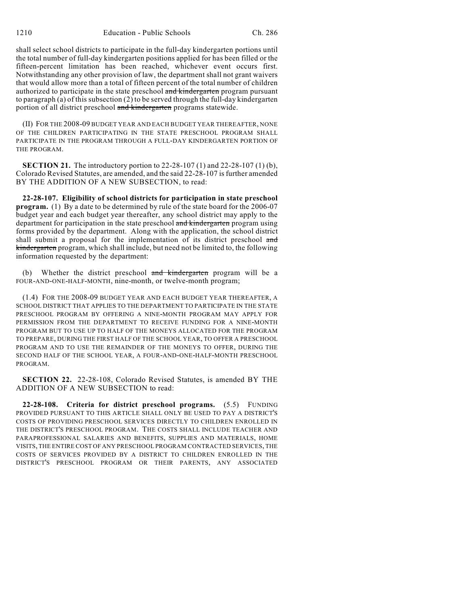shall select school districts to participate in the full-day kindergarten portions until the total number of full-day kindergarten positions applied for has been filled or the fifteen-percent limitation has been reached, whichever event occurs first. Notwithstanding any other provision of law, the department shall not grant waivers that would allow more than a total of fifteen percent of the total number of children authorized to participate in the state preschool and kindergarten program pursuant to paragraph (a) of this subsection (2) to be served through the full-day kindergarten portion of all district preschool and kindergarten programs statewide.

(II) FOR THE 2008-09 BUDGET YEAR AND EACH BUDGET YEAR THEREAFTER, NONE OF THE CHILDREN PARTICIPATING IN THE STATE PRESCHOOL PROGRAM SHALL PARTICIPATE IN THE PROGRAM THROUGH A FULL-DAY KINDERGARTEN PORTION OF THE PROGRAM.

**SECTION 21.** The introductory portion to 22-28-107 (1) and 22-28-107 (1) (b), Colorado Revised Statutes, are amended, and the said 22-28-107 is further amended BY THE ADDITION OF A NEW SUBSECTION, to read:

**22-28-107. Eligibility of school districts for participation in state preschool program.** (1) By a date to be determined by rule of the state board for the 2006-07 budget year and each budget year thereafter, any school district may apply to the department for participation in the state preschool and kindergarten program using forms provided by the department. Along with the application, the school district shall submit a proposal for the implementation of its district preschool and kindergarten program, which shall include, but need not be limited to, the following information requested by the department:

(b) Whether the district preschool and kindergarten program will be a FOUR-AND-ONE-HALF-MONTH, nine-month, or twelve-month program;

(1.4) FOR THE 2008-09 BUDGET YEAR AND EACH BUDGET YEAR THEREAFTER, A SCHOOL DISTRICT THAT APPLIES TO THE DEPARTMENT TO PARTICIPATE IN THE STATE PRESCHOOL PROGRAM BY OFFERING A NINE-MONTH PROGRAM MAY APPLY FOR PERMISSION FROM THE DEPARTMENT TO RECEIVE FUNDING FOR A NINE-MONTH PROGRAM BUT TO USE UP TO HALF OF THE MONEYS ALLOCATED FOR THE PROGRAM TO PREPARE, DURING THE FIRST HALF OF THE SCHOOL YEAR, TO OFFER A PRESCHOOL PROGRAM AND TO USE THE REMAINDER OF THE MONEYS TO OFFER, DURING THE SECOND HALF OF THE SCHOOL YEAR, A FOUR-AND-ONE-HALF-MONTH PRESCHOOL PROGRAM.

**SECTION 22.** 22-28-108, Colorado Revised Statutes, is amended BY THE ADDITION OF A NEW SUBSECTION to read:

**22-28-108. Criteria for district preschool programs.** (5.5) FUNDING PROVIDED PURSUANT TO THIS ARTICLE SHALL ONLY BE USED TO PAY A DISTRICT'S COSTS OF PROVIDING PRESCHOOL SERVICES DIRECTLY TO CHILDREN ENROLLED IN THE DISTRICT'S PRESCHOOL PROGRAM. THE COSTS SHALL INCLUDE TEACHER AND PARAPROFESSIONAL SALARIES AND BENEFITS, SUPPLIES AND MATERIALS, HOME VISITS, THE ENTIRE COST OF ANY PRESCHOOL PROGRAM CONTRACTED SERVICES, THE COSTS OF SERVICES PROVIDED BY A DISTRICT TO CHILDREN ENROLLED IN THE DISTRICT'S PRESCHOOL PROGRAM OR THEIR PARENTS, ANY ASSOCIATED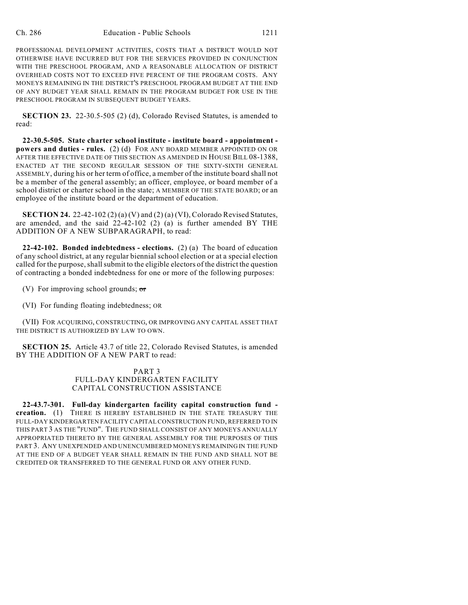PROFESSIONAL DEVELOPMENT ACTIVITIES, COSTS THAT A DISTRICT WOULD NOT OTHERWISE HAVE INCURRED BUT FOR THE SERVICES PROVIDED IN CONJUNCTION WITH THE PRESCHOOL PROGRAM, AND A REASONABLE ALLOCATION OF DISTRICT OVERHEAD COSTS NOT TO EXCEED FIVE PERCENT OF THE PROGRAM COSTS. ANY MONEYS REMAINING IN THE DISTRICT'S PRESCHOOL PROGRAM BUDGET AT THE END OF ANY BUDGET YEAR SHALL REMAIN IN THE PROGRAM BUDGET FOR USE IN THE PRESCHOOL PROGRAM IN SUBSEQUENT BUDGET YEARS.

**SECTION 23.** 22-30.5-505 (2) (d), Colorado Revised Statutes, is amended to read:

**22-30.5-505. State charter school institute - institute board - appointment powers and duties - rules.** (2) (d) FOR ANY BOARD MEMBER APPOINTED ON OR AFTER THE EFFECTIVE DATE OF THIS SECTION AS AMENDED IN HOUSE BILL 08-1388, ENACTED AT THE SECOND REGULAR SESSION OF THE SIXTY-SIXTH GENERAL ASSEMBLY, during his or her term of office, a member of the institute board shall not be a member of the general assembly; an officer, employee, or board member of a school district or charter school in the state; A MEMBER OF THE STATE BOARD; or an employee of the institute board or the department of education.

**SECTION 24.** 22-42-102 (2) (a) (V) and (2) (a) (VI), Colorado Revised Statutes, are amended, and the said 22-42-102 (2) (a) is further amended BY THE ADDITION OF A NEW SUBPARAGRAPH, to read:

**22-42-102. Bonded indebtedness - elections.** (2) (a) The board of education of any school district, at any regular biennial school election or at a special election called for the purpose, shall submit to the eligible electors of the district the question of contracting a bonded indebtedness for one or more of the following purposes:

(V) For improving school grounds;  $\sigma$ r

(VI) For funding floating indebtedness; OR

(VII) FOR ACQUIRING, CONSTRUCTING, OR IMPROVING ANY CAPITAL ASSET THAT THE DISTRICT IS AUTHORIZED BY LAW TO OWN.

**SECTION 25.** Article 43.7 of title 22, Colorado Revised Statutes, is amended BY THE ADDITION OF A NEW PART to read:

## PART 3 FULL-DAY KINDERGARTEN FACILITY CAPITAL CONSTRUCTION ASSISTANCE

**22-43.7-301. Full-day kindergarten facility capital construction fund creation.** (1) THERE IS HEREBY ESTABLISHED IN THE STATE TREASURY THE FULL-DAY KINDERGARTEN FACILITY CAPITAL CONSTRUCTION FUND, REFERRED TO IN THIS PART 3 AS THE "FUND". THE FUND SHALL CONSIST OF ANY MONEYS ANNUALLY APPROPRIATED THERETO BY THE GENERAL ASSEMBLY FOR THE PURPOSES OF THIS PART 3. ANY UNEXPENDED AND UNENCUMBERED MONEYS REMAINING IN THE FUND AT THE END OF A BUDGET YEAR SHALL REMAIN IN THE FUND AND SHALL NOT BE CREDITED OR TRANSFERRED TO THE GENERAL FUND OR ANY OTHER FUND.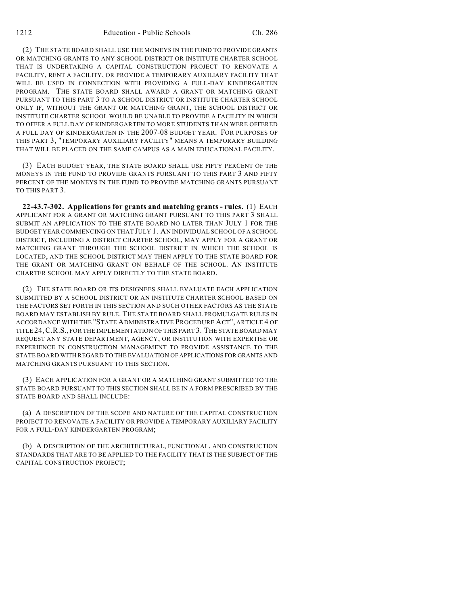(2) THE STATE BOARD SHALL USE THE MONEYS IN THE FUND TO PROVIDE GRANTS OR MATCHING GRANTS TO ANY SCHOOL DISTRICT OR INSTITUTE CHARTER SCHOOL THAT IS UNDERTAKING A CAPITAL CONSTRUCTION PROJECT TO RENOVATE A FACILITY, RENT A FACILITY, OR PROVIDE A TEMPORARY AUXILIARY FACILITY THAT WILL BE USED IN CONNECTION WITH PROVIDING A FULL-DAY KINDERGARTEN PROGRAM. THE STATE BOARD SHALL AWARD A GRANT OR MATCHING GRANT PURSUANT TO THIS PART 3 TO A SCHOOL DISTRICT OR INSTITUTE CHARTER SCHOOL ONLY IF, WITHOUT THE GRANT OR MATCHING GRANT, THE SCHOOL DISTRICT OR INSTITUTE CHARTER SCHOOL WOULD BE UNABLE TO PROVIDE A FACILITY IN WHICH TO OFFER A FULL DAY OF KINDERGARTEN TO MORE STUDENTS THAN WERE OFFERED A FULL DAY OF KINDERGARTEN IN THE 2007-08 BUDGET YEAR. FOR PURPOSES OF THIS PART 3, "TEMPORARY AUXILIARY FACILITY" MEANS A TEMPORARY BUILDING THAT WILL BE PLACED ON THE SAME CAMPUS AS A MAIN EDUCATIONAL FACILITY.

(3) EACH BUDGET YEAR, THE STATE BOARD SHALL USE FIFTY PERCENT OF THE MONEYS IN THE FUND TO PROVIDE GRANTS PURSUANT TO THIS PART 3 AND FIFTY PERCENT OF THE MONEYS IN THE FUND TO PROVIDE MATCHING GRANTS PURSUANT TO THIS PART 3.

**22-43.7-302. Applications for grants and matching grants - rules.** (1) EACH APPLICANT FOR A GRANT OR MATCHING GRANT PURSUANT TO THIS PART 3 SHALL SUBMIT AN APPLICATION TO THE STATE BOARD NO LATER THAN JULY 1 FOR THE BUDGET YEAR COMMENCING ON THAT JULY 1. AN INDIVIDUAL SCHOOL OF A SCHOOL DISTRICT, INCLUDING A DISTRICT CHARTER SCHOOL, MAY APPLY FOR A GRANT OR MATCHING GRANT THROUGH THE SCHOOL DISTRICT IN WHICH THE SCHOOL IS LOCATED, AND THE SCHOOL DISTRICT MAY THEN APPLY TO THE STATE BOARD FOR THE GRANT OR MATCHING GRANT ON BEHALF OF THE SCHOOL. AN INSTITUTE CHARTER SCHOOL MAY APPLY DIRECTLY TO THE STATE BOARD.

(2) THE STATE BOARD OR ITS DESIGNEES SHALL EVALUATE EACH APPLICATION SUBMITTED BY A SCHOOL DISTRICT OR AN INSTITUTE CHARTER SCHOOL BASED ON THE FACTORS SET FORTH IN THIS SECTION AND SUCH OTHER FACTORS AS THE STATE BOARD MAY ESTABLISH BY RULE. THE STATE BOARD SHALL PROMULGATE RULES IN ACCORDANCE WITH THE "STATE ADMINISTRATIVE PROCEDURE ACT", ARTICLE 4 OF TITLE 24,C.R.S., FOR THE IMPLEMENTATION OFTHIS PART 3. THE STATE BOARD MAY REQUEST ANY STATE DEPARTMENT, AGENCY, OR INSTITUTION WITH EXPERTISE OR EXPERIENCE IN CONSTRUCTION MANAGEMENT TO PROVIDE ASSISTANCE TO THE STATE BOARD WITH REGARD TO THE EVALUATION OF APPLICATIONS FOR GRANTS AND MATCHING GRANTS PURSUANT TO THIS SECTION.

(3) EACH APPLICATION FOR A GRANT OR A MATCHING GRANT SUBMITTED TO THE STATE BOARD PURSUANT TO THIS SECTION SHALL BE IN A FORM PRESCRIBED BY THE STATE BOARD AND SHALL INCLUDE:

(a) A DESCRIPTION OF THE SCOPE AND NATURE OF THE CAPITAL CONSTRUCTION PROJECT TO RENOVATE A FACILITY OR PROVIDE A TEMPORARY AUXILIARY FACILITY FOR A FULL-DAY KINDERGARTEN PROGRAM;

(b) A DESCRIPTION OF THE ARCHITECTURAL, FUNCTIONAL, AND CONSTRUCTION STANDARDS THAT ARE TO BE APPLIED TO THE FACILITY THAT IS THE SUBJECT OF THE CAPITAL CONSTRUCTION PROJECT;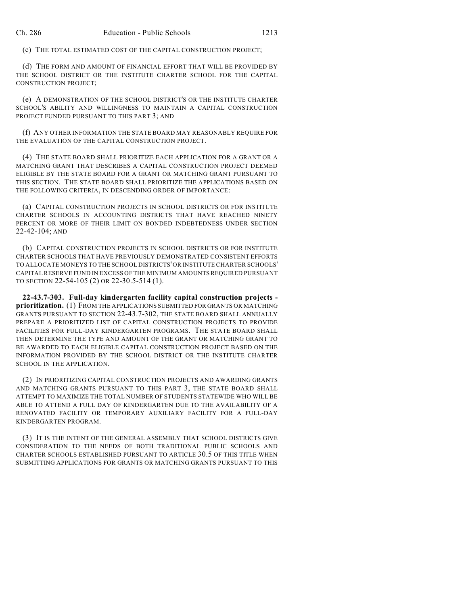(c) THE TOTAL ESTIMATED COST OF THE CAPITAL CONSTRUCTION PROJECT;

(d) THE FORM AND AMOUNT OF FINANCIAL EFFORT THAT WILL BE PROVIDED BY THE SCHOOL DISTRICT OR THE INSTITUTE CHARTER SCHOOL FOR THE CAPITAL CONSTRUCTION PROJECT;

(e) A DEMONSTRATION OF THE SCHOOL DISTRICT'S OR THE INSTITUTE CHARTER SCHOOL'S ABILITY AND WILLINGNESS TO MAINTAIN A CAPITAL CONSTRUCTION PROJECT FUNDED PURSUANT TO THIS PART 3; AND

(f) ANY OTHER INFORMATION THE STATE BOARD MAY REASONABLY REQUIRE FOR THE EVALUATION OF THE CAPITAL CONSTRUCTION PROJECT.

(4) THE STATE BOARD SHALL PRIORITIZE EACH APPLICATION FOR A GRANT OR A MATCHING GRANT THAT DESCRIBES A CAPITAL CONSTRUCTION PROJECT DEEMED ELIGIBLE BY THE STATE BOARD FOR A GRANT OR MATCHING GRANT PURSUANT TO THIS SECTION. THE STATE BOARD SHALL PRIORITIZE THE APPLICATIONS BASED ON THE FOLLOWING CRITERIA, IN DESCENDING ORDER OF IMPORTANCE:

(a) CAPITAL CONSTRUCTION PROJECTS IN SCHOOL DISTRICTS OR FOR INSTITUTE CHARTER SCHOOLS IN ACCOUNTING DISTRICTS THAT HAVE REACHED NINETY PERCENT OR MORE OF THEIR LIMIT ON BONDED INDEBTEDNESS UNDER SECTION 22-42-104; AND

(b) CAPITAL CONSTRUCTION PROJECTS IN SCHOOL DISTRICTS OR FOR INSTITUTE CHARTER SCHOOLS THAT HAVE PREVIOUSLY DEMONSTRATED CONSISTENT EFFORTS TO ALLOCATE MONEYS TO THE SCHOOL DISTRICTS'OR INSTITUTE CHARTER SCHOOLS' CAPITAL RESERVE FUND IN EXCESS OF THE MINIMUM AMOUNTS REQUIRED PURSUANT TO SECTION 22-54-105 (2) OR 22-30.5-514 (1).

**22-43.7-303. Full-day kindergarten facility capital construction projects prioritization.** (1) FROM THE APPLICATIONS SUBMITTED FOR GRANTS OR MATCHING GRANTS PURSUANT TO SECTION 22-43.7-302, THE STATE BOARD SHALL ANNUALLY PREPARE A PRIORITIZED LIST OF CAPITAL CONSTRUCTION PROJECTS TO PROVIDE FACILITIES FOR FULL-DAY KINDERGARTEN PROGRAMS. THE STATE BOARD SHALL THEN DETERMINE THE TYPE AND AMOUNT OF THE GRANT OR MATCHING GRANT TO BE AWARDED TO EACH ELIGIBLE CAPITAL CONSTRUCTION PROJECT BASED ON THE INFORMATION PROVIDED BY THE SCHOOL DISTRICT OR THE INSTITUTE CHARTER SCHOOL IN THE APPLICATION.

(2) IN PRIORITIZING CAPITAL CONSTRUCTION PROJECTS AND AWARDING GRANTS AND MATCHING GRANTS PURSUANT TO THIS PART 3, THE STATE BOARD SHALL ATTEMPT TO MAXIMIZE THE TOTAL NUMBER OF STUDENTS STATEWIDE WHO WILL BE ABLE TO ATTEND A FULL DAY OF KINDERGARTEN DUE TO THE AVAILABILITY OF A RENOVATED FACILITY OR TEMPORARY AUXILIARY FACILITY FOR A FULL-DAY KINDERGARTEN PROGRAM.

(3) IT IS THE INTENT OF THE GENERAL ASSEMBLY THAT SCHOOL DISTRICTS GIVE CONSIDERATION TO THE NEEDS OF BOTH TRADITIONAL PUBLIC SCHOOLS AND CHARTER SCHOOLS ESTABLISHED PURSUANT TO ARTICLE 30.5 OF THIS TITLE WHEN SUBMITTING APPLICATIONS FOR GRANTS OR MATCHING GRANTS PURSUANT TO THIS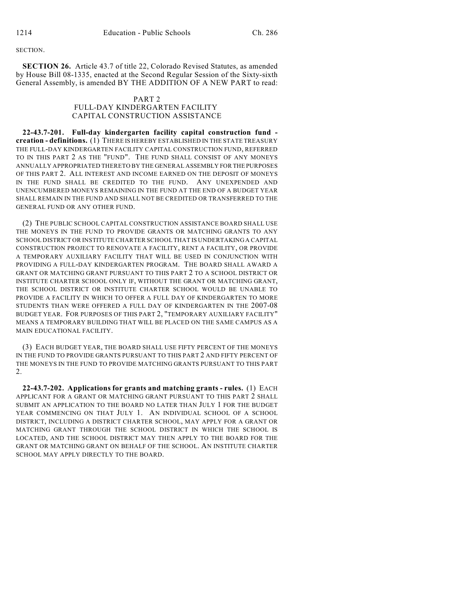#### **SECTION**

**SECTION 26.** Article 43.7 of title 22, Colorado Revised Statutes, as amended by House Bill 08-1335, enacted at the Second Regular Session of the Sixty-sixth General Assembly, is amended BY THE ADDITION OF A NEW PART to read:

### PART 2 FULL-DAY KINDERGARTEN FACILITY CAPITAL CONSTRUCTION ASSISTANCE

**22-43.7-201. Full-day kindergarten facility capital construction fund creation - definitions.** (1) THERE IS HEREBY ESTABLISHED IN THE STATE TREASURY THE FULL-DAY KINDERGARTEN FACILITY CAPITAL CONSTRUCTION FUND, REFERRED TO IN THIS PART 2 AS THE "FUND". THE FUND SHALL CONSIST OF ANY MONEYS ANNUALLY APPROPRIATED THERETO BY THE GENERAL ASSEMBLY FOR THE PURPOSES OF THIS PART 2. ALL INTEREST AND INCOME EARNED ON THE DEPOSIT OF MONEYS IN THE FUND SHALL BE CREDITED TO THE FUND. ANY UNEXPENDED AND UNENCUMBERED MONEYS REMAINING IN THE FUND AT THE END OF A BUDGET YEAR SHALL REMAIN IN THE FUND AND SHALL NOT BE CREDITED OR TRANSFERRED TO THE GENERAL FUND OR ANY OTHER FUND.

(2) THE PUBLIC SCHOOL CAPITAL CONSTRUCTION ASSISTANCE BOARD SHALL USE THE MONEYS IN THE FUND TO PROVIDE GRANTS OR MATCHING GRANTS TO ANY SCHOOL DISTRICT OR INSTITUTE CHARTER SCHOOL THAT IS UNDERTAKING A CAPITAL CONSTRUCTION PROJECT TO RENOVATE A FACILITY, RENT A FACILITY, OR PROVIDE A TEMPORARY AUXILIARY FACILITY THAT WILL BE USED IN CONJUNCTION WITH PROVIDING A FULL-DAY KINDERGARTEN PROGRAM. THE BOARD SHALL AWARD A GRANT OR MATCHING GRANT PURSUANT TO THIS PART 2 TO A SCHOOL DISTRICT OR INSTITUTE CHARTER SCHOOL ONLY IF, WITHOUT THE GRANT OR MATCHING GRANT, THE SCHOOL DISTRICT OR INSTITUTE CHARTER SCHOOL WOULD BE UNABLE TO PROVIDE A FACILITY IN WHICH TO OFFER A FULL DAY OF KINDERGARTEN TO MORE STUDENTS THAN WERE OFFERED A FULL DAY OF KINDERGARTEN IN THE 2007-08 BUDGET YEAR. FOR PURPOSES OF THIS PART 2, "TEMPORARY AUXILIARY FACILITY" MEANS A TEMPORARY BUILDING THAT WILL BE PLACED ON THE SAME CAMPUS AS A MAIN EDUCATIONAL FACILITY.

(3) EACH BUDGET YEAR, THE BOARD SHALL USE FIFTY PERCENT OF THE MONEYS IN THE FUND TO PROVIDE GRANTS PURSUANT TO THIS PART 2 AND FIFTY PERCENT OF THE MONEYS IN THE FUND TO PROVIDE MATCHING GRANTS PURSUANT TO THIS PART 2.

**22-43.7-202. Applications for grants and matching grants - rules.** (1) EACH APPLICANT FOR A GRANT OR MATCHING GRANT PURSUANT TO THIS PART 2 SHALL SUBMIT AN APPLICATION TO THE BOARD NO LATER THAN JULY 1 FOR THE BUDGET YEAR COMMENCING ON THAT JULY 1. AN INDIVIDUAL SCHOOL OF A SCHOOL DISTRICT, INCLUDING A DISTRICT CHARTER SCHOOL, MAY APPLY FOR A GRANT OR MATCHING GRANT THROUGH THE SCHOOL DISTRICT IN WHICH THE SCHOOL IS LOCATED, AND THE SCHOOL DISTRICT MAY THEN APPLY TO THE BOARD FOR THE GRANT OR MATCHING GRANT ON BEHALF OF THE SCHOOL. AN INSTITUTE CHARTER SCHOOL MAY APPLY DIRECTLY TO THE BOARD.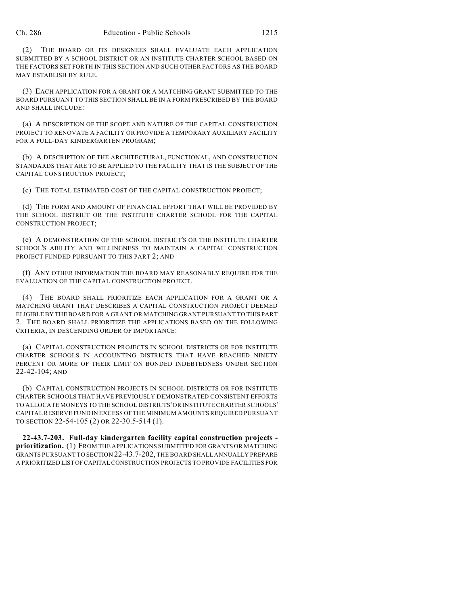(2) THE BOARD OR ITS DESIGNEES SHALL EVALUATE EACH APPLICATION SUBMITTED BY A SCHOOL DISTRICT OR AN INSTITUTE CHARTER SCHOOL BASED ON THE FACTORS SET FORTH IN THIS SECTION AND SUCH OTHER FACTORS AS THE BOARD MAY ESTABLISH BY RULE.

(3) EACH APPLICATION FOR A GRANT OR A MATCHING GRANT SUBMITTED TO THE BOARD PURSUANT TO THIS SECTION SHALL BE IN A FORM PRESCRIBED BY THE BOARD AND SHALL INCLUDE:

(a) A DESCRIPTION OF THE SCOPE AND NATURE OF THE CAPITAL CONSTRUCTION PROJECT TO RENOVATE A FACILITY OR PROVIDE A TEMPORARY AUXILIARY FACILITY FOR A FULL-DAY KINDERGARTEN PROGRAM;

(b) A DESCRIPTION OF THE ARCHITECTURAL, FUNCTIONAL, AND CONSTRUCTION STANDARDS THAT ARE TO BE APPLIED TO THE FACILITY THAT IS THE SUBJECT OF THE CAPITAL CONSTRUCTION PROJECT;

(c) THE TOTAL ESTIMATED COST OF THE CAPITAL CONSTRUCTION PROJECT;

(d) THE FORM AND AMOUNT OF FINANCIAL EFFORT THAT WILL BE PROVIDED BY THE SCHOOL DISTRICT OR THE INSTITUTE CHARTER SCHOOL FOR THE CAPITAL CONSTRUCTION PROJECT;

(e) A DEMONSTRATION OF THE SCHOOL DISTRICT'S OR THE INSTITUTE CHARTER SCHOOL'S ABILITY AND WILLINGNESS TO MAINTAIN A CAPITAL CONSTRUCTION PROJECT FUNDED PURSUANT TO THIS PART 2; AND

(f) ANY OTHER INFORMATION THE BOARD MAY REASONABLY REQUIRE FOR THE EVALUATION OF THE CAPITAL CONSTRUCTION PROJECT.

(4) THE BOARD SHALL PRIORITIZE EACH APPLICATION FOR A GRANT OR A MATCHING GRANT THAT DESCRIBES A CAPITAL CONSTRUCTION PROJECT DEEMED ELIGIBLE BY THE BOARD FOR A GRANT OR MATCHING GRANT PURSUANT TO THIS PART 2. THE BOARD SHALL PRIORITIZE THE APPLICATIONS BASED ON THE FOLLOWING CRITERIA, IN DESCENDING ORDER OF IMPORTANCE:

(a) CAPITAL CONSTRUCTION PROJECTS IN SCHOOL DISTRICTS OR FOR INSTITUTE CHARTER SCHOOLS IN ACCOUNTING DISTRICTS THAT HAVE REACHED NINETY PERCENT OR MORE OF THEIR LIMIT ON BONDED INDEBTEDNESS UNDER SECTION 22-42-104; AND

(b) CAPITAL CONSTRUCTION PROJECTS IN SCHOOL DISTRICTS OR FOR INSTITUTE CHARTER SCHOOLS THAT HAVE PREVIOUSLY DEMONSTRATED CONSISTENT EFFORTS TO ALLOCATE MONEYS TO THE SCHOOL DISTRICTS'OR INSTITUTE CHARTER SCHOOLS' CAPITAL RESERVE FUND IN EXCESS OF THE MINIMUM AMOUNTS REQUIRED PURSUANT TO SECTION 22-54-105 (2) OR 22-30.5-514 (1).

**22-43.7-203. Full-day kindergarten facility capital construction projects prioritization.** (1) FROM THE APPLICATIONS SUBMITTED FOR GRANTS OR MATCHING GRANTS PURSUANT TO SECTION 22-43.7-202, THE BOARD SHALL ANNUALLY PREPARE A PRIORITIZED LIST OF CAPITAL CONSTRUCTION PROJECTS TO PROVIDE FACILITIES FOR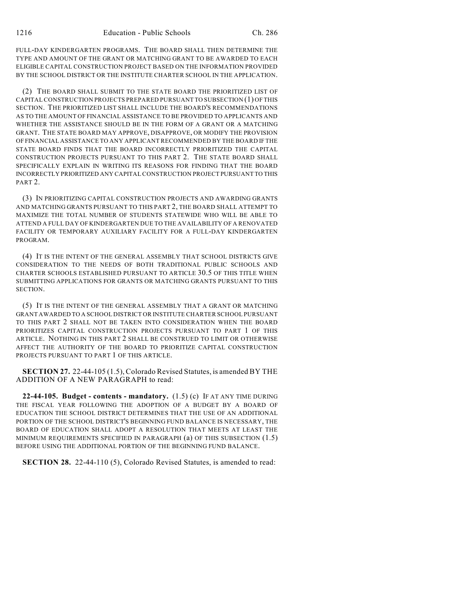FULL-DAY KINDERGARTEN PROGRAMS. THE BOARD SHALL THEN DETERMINE THE TYPE AND AMOUNT OF THE GRANT OR MATCHING GRANT TO BE AWARDED TO EACH ELIGIBLE CAPITAL CONSTRUCTION PROJECT BASED ON THE INFORMATION PROVIDED BY THE SCHOOL DISTRICT OR THE INSTITUTE CHARTER SCHOOL IN THE APPLICATION.

(2) THE BOARD SHALL SUBMIT TO THE STATE BOARD THE PRIORITIZED LIST OF CAPITAL CONSTRUCTION PROJECTS PREPARED PURSUANT TO SUBSECTION (1) OF THIS SECTION. THE PRIORITIZED LIST SHALL INCLUDE THE BOARD'S RECOMMENDATIONS AS TO THE AMOUNT OF FINANCIAL ASSISTANCE TO BE PROVIDED TO APPLICANTS AND WHETHER THE ASSISTANCE SHOULD BE IN THE FORM OF A GRANT OR A MATCHING GRANT. THE STATE BOARD MAY APPROVE, DISAPPROVE, OR MODIFY THE PROVISION OF FINANCIAL ASSISTANCE TO ANY APPLICANT RECOMMENDED BY THE BOARD IF THE STATE BOARD FINDS THAT THE BOARD INCORRECTLY PRIORITIZED THE CAPITAL CONSTRUCTION PROJECTS PURSUANT TO THIS PART 2. THE STATE BOARD SHALL SPECIFICALLY EXPLAIN IN WRITING ITS REASONS FOR FINDING THAT THE BOARD INCORRECTLY PRIORITIZED ANY CAPITAL CONSTRUCTION PROJECT PURSUANT TO THIS PART 2.

(3) IN PRIORITIZING CAPITAL CONSTRUCTION PROJECTS AND AWARDING GRANTS AND MATCHING GRANTS PURSUANT TO THIS PART 2, THE BOARD SHALL ATTEMPT TO MAXIMIZE THE TOTAL NUMBER OF STUDENTS STATEWIDE WHO WILL BE ABLE TO ATTEND A FULL DAY OF KINDERGARTEN DUE TO THE AVAILABILITY OF A RENOVATED FACILITY OR TEMPORARY AUXILIARY FACILITY FOR A FULL-DAY KINDERGARTEN PROGRAM.

(4) IT IS THE INTENT OF THE GENERAL ASSEMBLY THAT SCHOOL DISTRICTS GIVE CONSIDERATION TO THE NEEDS OF BOTH TRADITIONAL PUBLIC SCHOOLS AND CHARTER SCHOOLS ESTABLISHED PURSUANT TO ARTICLE 30.5 OF THIS TITLE WHEN SUBMITTING APPLICATIONS FOR GRANTS OR MATCHING GRANTS PURSUANT TO THIS SECTION.

(5) IT IS THE INTENT OF THE GENERAL ASSEMBLY THAT A GRANT OR MATCHING GRANT AWARDED TO A SCHOOL DISTRICT OR INSTITUTE CHARTER SCHOOL PURSUANT TO THIS PART 2 SHALL NOT BE TAKEN INTO CONSIDERATION WHEN THE BOARD PRIORITIZES CAPITAL CONSTRUCTION PROJECTS PURSUANT TO PART 1 OF THIS ARTICLE. NOTHING IN THIS PART 2 SHALL BE CONSTRUED TO LIMIT OR OTHERWISE AFFECT THE AUTHORITY OF THE BOARD TO PRIORITIZE CAPITAL CONSTRUCTION PROJECTS PURSUANT TO PART 1 OF THIS ARTICLE.

**SECTION 27.** 22-44-105 (1.5), Colorado Revised Statutes, is amended BY THE ADDITION OF A NEW PARAGRAPH to read:

**22-44-105. Budget - contents - mandatory.** (1.5) (c) IF AT ANY TIME DURING THE FISCAL YEAR FOLLOWING THE ADOPTION OF A BUDGET BY A BOARD OF EDUCATION THE SCHOOL DISTRICT DETERMINES THAT THE USE OF AN ADDITIONAL PORTION OF THE SCHOOL DISTRICT'S BEGINNING FUND BALANCE IS NECESSARY, THE BOARD OF EDUCATION SHALL ADOPT A RESOLUTION THAT MEETS AT LEAST THE MINIMUM REQUIREMENTS SPECIFIED IN PARAGRAPH (a) OF THIS SUBSECTION (1.5) BEFORE USING THE ADDITIONAL PORTION OF THE BEGINNING FUND BALANCE.

**SECTION 28.** 22-44-110 (5), Colorado Revised Statutes, is amended to read: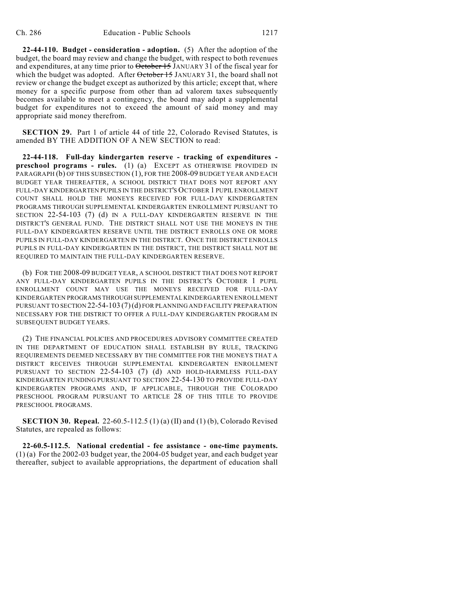**22-44-110. Budget - consideration - adoption.** (5) After the adoption of the budget, the board may review and change the budget, with respect to both revenues and expenditures, at any time prior to  $\theta$ ctober 15 JANUARY 31 of the fiscal year for which the budget was adopted. After October 15 JANUARY 31, the board shall not review or change the budget except as authorized by this article; except that, where money for a specific purpose from other than ad valorem taxes subsequently becomes available to meet a contingency, the board may adopt a supplemental budget for expenditures not to exceed the amount of said money and may appropriate said money therefrom.

**SECTION 29.** Part 1 of article 44 of title 22, Colorado Revised Statutes, is amended BY THE ADDITION OF A NEW SECTION to read:

**22-44-118. Full-day kindergarten reserve - tracking of expenditures preschool programs - rules.** (1) (a) EXCEPT AS OTHERWISE PROVIDED IN PARAGRAPH (b) OF THIS SUBSECTION (1), FOR THE 2008-09 BUDGET YEAR AND EACH BUDGET YEAR THEREAFTER, A SCHOOL DISTRICT THAT DOES NOT REPORT ANY FULL-DAY KINDERGARTEN PUPILS IN THE DISTRICT'S OCTOBER 1 PUPIL ENROLLMENT COUNT SHALL HOLD THE MONEYS RECEIVED FOR FULL-DAY KINDERGARTEN PROGRAMS THROUGH SUPPLEMENTAL KINDERGARTEN ENROLLMENT PURSUANT TO SECTION 22-54-103 (7) (d) IN A FULL-DAY KINDERGARTEN RESERVE IN THE DISTRICT'S GENERAL FUND. THE DISTRICT SHALL NOT USE THE MONEYS IN THE FULL-DAY KINDERGARTEN RESERVE UNTIL THE DISTRICT ENROLLS ONE OR MORE PUPILS IN FULL-DAY KINDERGARTEN IN THE DISTRICT. ONCE THE DISTRICT ENROLLS PUPILS IN FULL-DAY KINDERGARTEN IN THE DISTRICT, THE DISTRICT SHALL NOT BE REQUIRED TO MAINTAIN THE FULL-DAY KINDERGARTEN RESERVE.

(b) FOR THE 2008-09 BUDGET YEAR, A SCHOOL DISTRICT THAT DOES NOT REPORT ANY FULL-DAY KINDERGARTEN PUPILS IN THE DISTRICT'S OCTOBER 1 PUPIL ENROLLMENT COUNT MAY USE THE MONEYS RECEIVED FOR FULL-DAY KINDERGARTEN PROGRAMS THROUGH SUPPLEMENTAL KINDERGARTEN ENROLLMENT PURSUANT TO SECTION 22-54-103 (7)(d) FOR PLANNING AND FACILITY PREPARATION NECESSARY FOR THE DISTRICT TO OFFER A FULL-DAY KINDERGARTEN PROGRAM IN SUBSEQUENT BUDGET YEARS.

(2) THE FINANCIAL POLICIES AND PROCEDURES ADVISORY COMMITTEE CREATED IN THE DEPARTMENT OF EDUCATION SHALL ESTABLISH BY RULE, TRACKING REQUIREMENTS DEEMED NECESSARY BY THE COMMITTEE FOR THE MONEYS THAT A DISTRICT RECEIVES THROUGH SUPPLEMENTAL KINDERGARTEN ENROLLMENT PURSUANT TO SECTION 22-54-103 (7) (d) AND HOLD-HARMLESS FULL-DAY KINDERGARTEN FUNDING PURSUANT TO SECTION 22-54-130 TO PROVIDE FULL-DAY KINDERGARTEN PROGRAMS AND, IF APPLICABLE, THROUGH THE COLORADO PRESCHOOL PROGRAM PURSUANT TO ARTICLE 28 OF THIS TITLE TO PROVIDE PRESCHOOL PROGRAMS.

**SECTION 30. Repeal.** 22-60.5-112.5 (1) (a) (II) and (1) (b), Colorado Revised Statutes, are repealed as follows:

**22-60.5-112.5. National credential - fee assistance - one-time payments.** (1) (a) For the 2002-03 budget year, the 2004-05 budget year, and each budget year thereafter, subject to available appropriations, the department of education shall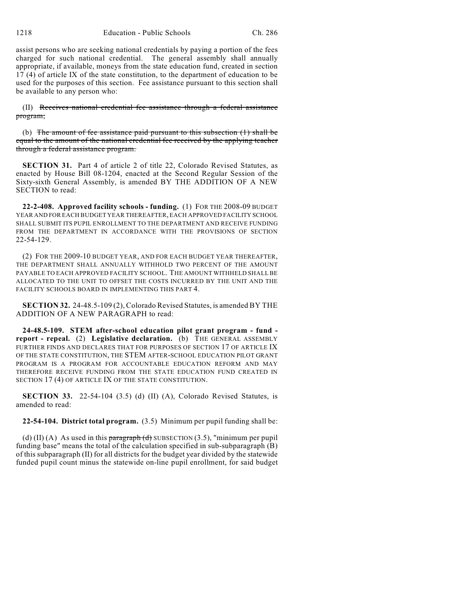assist persons who are seeking national credentials by paying a portion of the fees charged for such national credential. The general assembly shall annually appropriate, if available, moneys from the state education fund, created in section 17 (4) of article IX of the state constitution, to the department of education to be used for the purposes of this section. Fee assistance pursuant to this section shall be available to any person who:

(II) Receives national credential fee assistance through a federal assistance program;

(b) The amount of fee assistance paid pursuant to this subsection  $(1)$  shall be equal to the amount of the national credential fee received by the applying teacher through a federal assistance program.

**SECTION 31.** Part 4 of article 2 of title 22, Colorado Revised Statutes, as enacted by House Bill 08-1204, enacted at the Second Regular Session of the Sixty-sixth General Assembly, is amended BY THE ADDITION OF A NEW SECTION to read:

**22-2-408. Approved facility schools - funding.** (1) FOR THE 2008-09 BUDGET YEAR AND FOR EACH BUDGET YEAR THEREAFTER, EACH APPROVED FACILITY SCHOOL SHALL SUBMIT ITS PUPIL ENROLLMENT TO THE DEPARTMENT AND RECEIVE FUNDING FROM THE DEPARTMENT IN ACCORDANCE WITH THE PROVISIONS OF SECTION 22-54-129.

(2) FOR THE 2009-10 BUDGET YEAR, AND FOR EACH BUDGET YEAR THEREAFTER, THE DEPARTMENT SHALL ANNUALLY WITHHOLD TWO PERCENT OF THE AMOUNT PAYABLE TO EACH APPROVED FACILITY SCHOOL. THE AMOUNT WITHHELD SHALL BE ALLOCATED TO THE UNIT TO OFFSET THE COSTS INCURRED BY THE UNIT AND THE FACILITY SCHOOLS BOARD IN IMPLEMENTING THIS PART 4.

**SECTION 32.** 24-48.5-109 (2), Colorado Revised Statutes, is amended BY THE ADDITION OF A NEW PARAGRAPH to read:

**24-48.5-109. STEM after-school education pilot grant program - fund report - repeal.** (2) **Legislative declaration.** (b) THE GENERAL ASSEMBLY FURTHER FINDS AND DECLARES THAT FOR PURPOSES OF SECTION 17 OF ARTICLE IX OF THE STATE CONSTITUTION, THE STEM AFTER-SCHOOL EDUCATION PILOT GRANT PROGRAM IS A PROGRAM FOR ACCOUNTABLE EDUCATION REFORM AND MAY THEREFORE RECEIVE FUNDING FROM THE STATE EDUCATION FUND CREATED IN SECTION 17 (4) OF ARTICLE IX OF THE STATE CONSTITUTION.

**SECTION 33.** 22-54-104 (3.5) (d) (II) (A), Colorado Revised Statutes, is amended to read:

**22-54-104. District total program.** (3.5) Minimum per pupil funding shall be:

(d) (II) (A) As used in this paragraph (d) SUBSECTION (3.5), "minimum per pupil funding base" means the total of the calculation specified in sub-subparagraph (B) of this subparagraph (II) for all districts for the budget year divided by the statewide funded pupil count minus the statewide on-line pupil enrollment, for said budget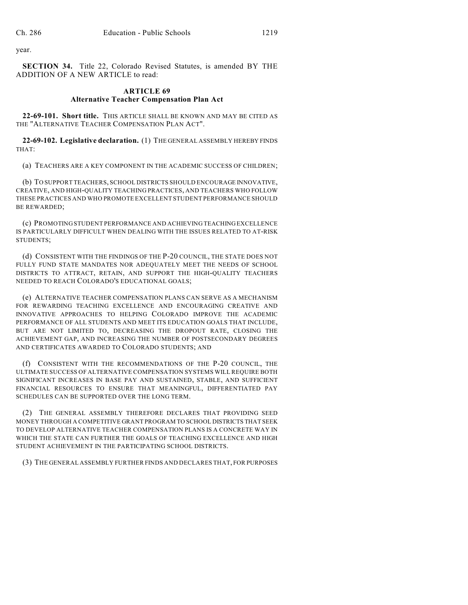year.

**SECTION 34.** Title 22, Colorado Revised Statutes, is amended BY THE ADDITION OF A NEW ARTICLE to read:

# **ARTICLE 69 Alternative Teacher Compensation Plan Act**

**22-69-101. Short title.** THIS ARTICLE SHALL BE KNOWN AND MAY BE CITED AS THE "ALTERNATIVE TEACHER COMPENSATION PLAN ACT".

**22-69-102. Legislative declaration.** (1) THE GENERAL ASSEMBLY HEREBY FINDS THAT:

(a) TEACHERS ARE A KEY COMPONENT IN THE ACADEMIC SUCCESS OF CHILDREN;

(b) TO SUPPORT TEACHERS, SCHOOL DISTRICTS SHOULD ENCOURAGE INNOVATIVE, CREATIVE, AND HIGH-QUALITY TEACHING PRACTICES, AND TEACHERS WHO FOLLOW THESE PRACTICES AND WHO PROMOTE EXCELLENT STUDENT PERFORMANCE SHOULD BE REWARDED;

(c) PROMOTING STUDENT PERFORMANCE AND ACHIEVING TEACHING EXCELLENCE IS PARTICULARLY DIFFICULT WHEN DEALING WITH THE ISSUES RELATED TO AT-RISK STUDENTS;

(d) CONSISTENT WITH THE FINDINGS OF THE P-20 COUNCIL, THE STATE DOES NOT FULLY FUND STATE MANDATES NOR ADEQUATELY MEET THE NEEDS OF SCHOOL DISTRICTS TO ATTRACT, RETAIN, AND SUPPORT THE HIGH-QUALITY TEACHERS NEEDED TO REACH COLORADO'S EDUCATIONAL GOALS;

(e) ALTERNATIVE TEACHER COMPENSATION PLANS CAN SERVE AS A MECHANISM FOR REWARDING TEACHING EXCELLENCE AND ENCOURAGING CREATIVE AND INNOVATIVE APPROACHES TO HELPING COLORADO IMPROVE THE ACADEMIC PERFORMANCE OF ALL STUDENTS AND MEET ITS EDUCATION GOALS THAT INCLUDE, BUT ARE NOT LIMITED TO, DECREASING THE DROPOUT RATE, CLOSING THE ACHIEVEMENT GAP, AND INCREASING THE NUMBER OF POSTSECONDARY DEGREES AND CERTIFICATES AWARDED TO COLORADO STUDENTS; AND

(f) CONSISTENT WITH THE RECOMMENDATIONS OF THE P-20 COUNCIL, THE ULTIMATE SUCCESS OF ALTERNATIVE COMPENSATION SYSTEMS WILL REQUIRE BOTH SIGNIFICANT INCREASES IN BASE PAY AND SUSTAINED, STABLE, AND SUFFICIENT FINANCIAL RESOURCES TO ENSURE THAT MEANINGFUL, DIFFERENTIATED PAY SCHEDULES CAN BE SUPPORTED OVER THE LONG TERM.

(2) THE GENERAL ASSEMBLY THEREFORE DECLARES THAT PROVIDING SEED MONEY THROUGH A COMPETITIVE GRANT PROGRAM TO SCHOOL DISTRICTS THAT SEEK TO DEVELOP ALTERNATIVE TEACHER COMPENSATION PLANS IS A CONCRETE WAY IN WHICH THE STATE CAN FURTHER THE GOALS OF TEACHING EXCELLENCE AND HIGH STUDENT ACHIEVEMENT IN THE PARTICIPATING SCHOOL DISTRICTS.

(3) THE GENERAL ASSEMBLY FURTHER FINDS AND DECLARES THAT, FOR PURPOSES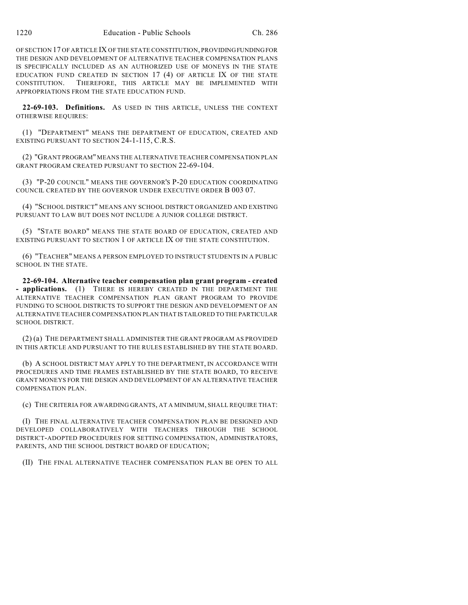OF SECTION 17 OF ARTICLE IX OF THE STATE CONSTITUTION, PROVIDING FUNDING FOR THE DESIGN AND DEVELOPMENT OF ALTERNATIVE TEACHER COMPENSATION PLANS IS SPECIFICALLY INCLUDED AS AN AUTHORIZED USE OF MONEYS IN THE STATE EDUCATION FUND CREATED IN SECTION 17 (4) OF ARTICLE IX OF THE STATE CONSTITUTION. THEREFORE, THIS ARTICLE MAY BE IMPLEMENTED WITH APPROPRIATIONS FROM THE STATE EDUCATION FUND.

**22-69-103. Definitions.** AS USED IN THIS ARTICLE, UNLESS THE CONTEXT OTHERWISE REQUIRES:

(1) "DEPARTMENT" MEANS THE DEPARTMENT OF EDUCATION, CREATED AND EXISTING PURSUANT TO SECTION 24-1-115, C.R.S.

(2) "GRANT PROGRAM" MEANS THE ALTERNATIVE TEACHER COMPENSATION PLAN GRANT PROGRAM CREATED PURSUANT TO SECTION 22-69-104.

(3) "P-20 COUNCIL" MEANS THE GOVERNOR'S P-20 EDUCATION COORDINATING COUNCIL CREATED BY THE GOVERNOR UNDER EXECUTIVE ORDER B 003 07.

(4) "SCHOOL DISTRICT" MEANS ANY SCHOOL DISTRICT ORGANIZED AND EXISTING PURSUANT TO LAW BUT DOES NOT INCLUDE A JUNIOR COLLEGE DISTRICT.

(5) "STATE BOARD" MEANS THE STATE BOARD OF EDUCATION, CREATED AND EXISTING PURSUANT TO SECTION 1 OF ARTICLE IX OF THE STATE CONSTITUTION.

(6) "TEACHER" MEANS A PERSON EMPLOYED TO INSTRUCT STUDENTS IN A PUBLIC SCHOOL IN THE STATE.

**22-69-104. Alternative teacher compensation plan grant program - created - applications.** (1) THERE IS HEREBY CREATED IN THE DEPARTMENT THE ALTERNATIVE TEACHER COMPENSATION PLAN GRANT PROGRAM TO PROVIDE FUNDING TO SCHOOL DISTRICTS TO SUPPORT THE DESIGN AND DEVELOPMENT OF AN ALTERNATIVE TEACHER COMPENSATION PLAN THAT IS TAILORED TO THE PARTICULAR SCHOOL DISTRICT.

(2) (a) THE DEPARTMENT SHALL ADMINISTER THE GRANT PROGRAM AS PROVIDED IN THIS ARTICLE AND PURSUANT TO THE RULES ESTABLISHED BY THE STATE BOARD.

(b) A SCHOOL DISTRICT MAY APPLY TO THE DEPARTMENT, IN ACCORDANCE WITH PROCEDURES AND TIME FRAMES ESTABLISHED BY THE STATE BOARD, TO RECEIVE GRANT MONEYS FOR THE DESIGN AND DEVELOPMENT OF AN ALTERNATIVE TEACHER COMPENSATION PLAN.

(c) THE CRITERIA FOR AWARDING GRANTS, AT A MINIMUM, SHALL REQUIRE THAT:

(I) THE FINAL ALTERNATIVE TEACHER COMPENSATION PLAN BE DESIGNED AND DEVELOPED COLLABORATIVELY WITH TEACHERS THROUGH THE SCHOOL DISTRICT-ADOPTED PROCEDURES FOR SETTING COMPENSATION, ADMINISTRATORS, PARENTS, AND THE SCHOOL DISTRICT BOARD OF EDUCATION;

(II) THE FINAL ALTERNATIVE TEACHER COMPENSATION PLAN BE OPEN TO ALL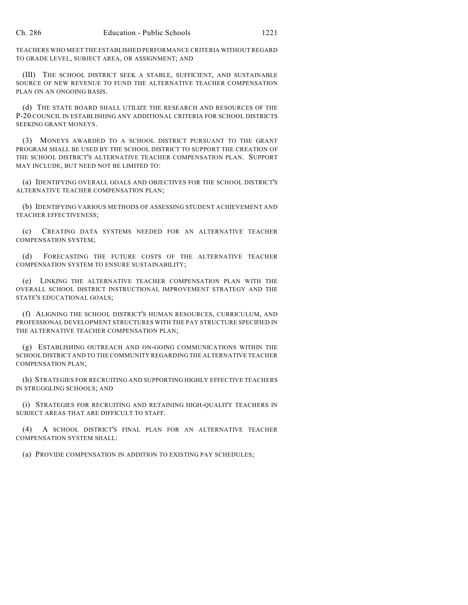TEACHERS WHO MEET THE ESTABLISHED PERFORMANCE CRITERIA WITHOUT REGARD TO GRADE LEVEL, SUBJECT AREA, OR ASSIGNMENT; AND

(III) THE SCHOOL DISTRICT SEEK A STABLE, SUFFICIENT, AND SUSTAINABLE SOURCE OF NEW REVENUE TO FUND THE ALTERNATIVE TEACHER COMPENSATION PLAN ON AN ONGOING BASIS.

(d) THE STATE BOARD SHALL UTILIZE THE RESEARCH AND RESOURCES OF THE P-20 COUNCIL IN ESTABLISHING ANY ADDITIONAL CRITERIA FOR SCHOOL DISTRICTS SEEKING GRANT MONEYS.

(3) MONEYS AWARDED TO A SCHOOL DISTRICT PURSUANT TO THE GRANT PROGRAM SHALL BE USED BY THE SCHOOL DISTRICT TO SUPPORT THE CREATION OF THE SCHOOL DISTRICT'S ALTERNATIVE TEACHER COMPENSATION PLAN. SUPPORT MAY INCLUDE, BUT NEED NOT BE LIMITED TO:

(a) IDENTIFYING OVERALL GOALS AND OBJECTIVES FOR THE SCHOOL DISTRICT'S ALTERNATIVE TEACHER COMPENSATION PLAN;

(b) IDENTIFYING VARIOUS METHODS OF ASSESSING STUDENT ACHIEVEMENT AND TEACHER EFFECTIVENESS;

(c) CREATING DATA SYSTEMS NEEDED FOR AN ALTERNATIVE TEACHER COMPENSATION SYSTEM;

(d) FORECASTING THE FUTURE COSTS OF THE ALTERNATIVE TEACHER COMPENSATION SYSTEM TO ENSURE SUSTAINABILITY;

(e) LINKING THE ALTERNATIVE TEACHER COMPENSATION PLAN WITH THE OVERALL SCHOOL DISTRICT INSTRUCTIONAL IMPROVEMENT STRATEGY AND THE STATE'S EDUCATIONAL GOALS;

(f) ALIGNING THE SCHOOL DISTRICT'S HUMAN RESOURCES, CURRICULUM, AND PROFESSIONAL DEVELOPMENT STRUCTURES WITH THE PAY STRUCTURE SPECIFIED IN THE ALTERNATIVE TEACHER COMPENSATION PLAN;

(g) ESTABLISHING OUTREACH AND ON-GOING COMMUNICATIONS WITHIN THE SCHOOL DISTRICT AND TO THE COMMUNITY REGARDING THE ALTERNATIVE TEACHER COMPENSATION PLAN;

(h) STRATEGIES FOR RECRUITING AND SUPPORTING HIGHLY EFFECTIVE TEACHERS IN STRUGGLING SCHOOLS; AND

(i) STRATEGIES FOR RECRUITING AND RETAINING HIGH-QUALITY TEACHERS IN SUBJECT AREAS THAT ARE DIFFICULT TO STAFF.

(4) A SCHOOL DISTRICT'S FINAL PLAN FOR AN ALTERNATIVE TEACHER COMPENSATION SYSTEM SHALL:

(a) PROVIDE COMPENSATION IN ADDITION TO EXISTING PAY SCHEDULES;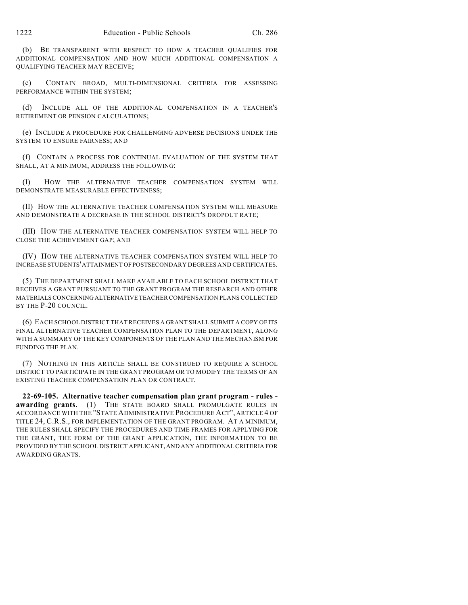(b) BE TRANSPARENT WITH RESPECT TO HOW A TEACHER QUALIFIES FOR ADDITIONAL COMPENSATION AND HOW MUCH ADDITIONAL COMPENSATION A QUALIFYING TEACHER MAY RECEIVE;

(c) CONTAIN BROAD, MULTI-DIMENSIONAL CRITERIA FOR ASSESSING PERFORMANCE WITHIN THE SYSTEM;

(d) INCLUDE ALL OF THE ADDITIONAL COMPENSATION IN A TEACHER'S RETIREMENT OR PENSION CALCULATIONS;

(e) INCLUDE A PROCEDURE FOR CHALLENGING ADVERSE DECISIONS UNDER THE SYSTEM TO ENSURE FAIRNESS; AND

(f) CONTAIN A PROCESS FOR CONTINUAL EVALUATION OF THE SYSTEM THAT SHALL, AT A MINIMUM, ADDRESS THE FOLLOWING:

(I) HOW THE ALTERNATIVE TEACHER COMPENSATION SYSTEM WILL DEMONSTRATE MEASURABLE EFFECTIVENESS;

(II) HOW THE ALTERNATIVE TEACHER COMPENSATION SYSTEM WILL MEASURE AND DEMONSTRATE A DECREASE IN THE SCHOOL DISTRICT'S DROPOUT RATE;

(III) HOW THE ALTERNATIVE TEACHER COMPENSATION SYSTEM WILL HELP TO CLOSE THE ACHIEVEMENT GAP; AND

(IV) HOW THE ALTERNATIVE TEACHER COMPENSATION SYSTEM WILL HELP TO INCREASE STUDENTS' ATTAINMENT OF POSTSECONDARY DEGREES AND CERTIFICATES.

(5) THE DEPARTMENT SHALL MAKE AVAILABLE TO EACH SCHOOL DISTRICT THAT RECEIVES A GRANT PURSUANT TO THE GRANT PROGRAM THE RESEARCH AND OTHER MATERIALS CONCERNING ALTERNATIVE TEACHER COMPENSATION PLANS COLLECTED BY THE P-20 COUNCIL.

(6) EACH SCHOOL DISTRICT THAT RECEIVES A GRANT SHALL SUBMIT A COPY OF ITS FINAL ALTERNATIVE TEACHER COMPENSATION PLAN TO THE DEPARTMENT, ALONG WITH A SUMMARY OF THE KEY COMPONENTS OF THE PLAN AND THE MECHANISM FOR FUNDING THE PLAN.

(7) NOTHING IN THIS ARTICLE SHALL BE CONSTRUED TO REQUIRE A SCHOOL DISTRICT TO PARTICIPATE IN THE GRANT PROGRAM OR TO MODIFY THE TERMS OF AN EXISTING TEACHER COMPENSATION PLAN OR CONTRACT.

**22-69-105. Alternative teacher compensation plan grant program - rules awarding grants.** (1) THE STATE BOARD SHALL PROMULGATE RULES IN ACCORDANCE WITH THE "STATE ADMINISTRATIVE PROCEDURE ACT", ARTICLE 4 OF TITLE 24, C.R.S., FOR IMPLEMENTATION OF THE GRANT PROGRAM. AT A MINIMUM, THE RULES SHALL SPECIFY THE PROCEDURES AND TIME FRAMES FOR APPLYING FOR THE GRANT, THE FORM OF THE GRANT APPLICATION, THE INFORMATION TO BE PROVIDED BY THE SCHOOL DISTRICT APPLICANT, AND ANY ADDITIONAL CRITERIA FOR AWARDING GRANTS.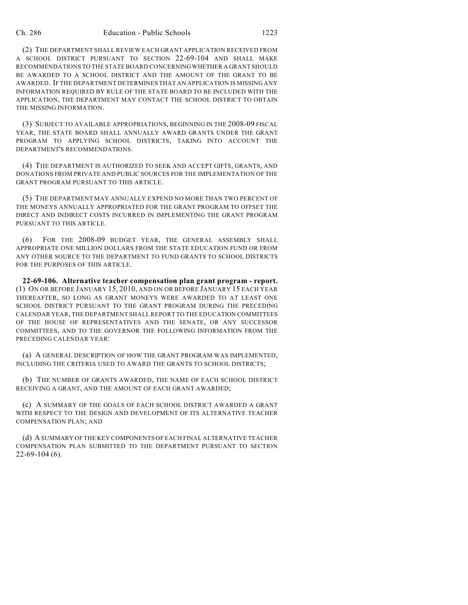(2) THE DEPARTMENT SHALL REVIEW EACH GRANT APPLICATION RECEIVED FROM A SCHOOL DISTRICT PURSUANT TO SECTION 22-69-104 AND SHALL MAKE RECOMMENDATIONS TO THE STATE BOARD CONCERNING WHETHER A GRANT SHOULD BE AWARDED TO A SCHOOL DISTRICT AND THE AMOUNT OF THE GRANT TO BE AWARDED. IF THE DEPARTMENT DETERMINES THAT AN APPLICATION IS MISSING ANY INFORMATION REQUIRED BY RULE OF THE STATE BOARD TO BE INCLUDED WITH THE APPLICATION, THE DEPARTMENT MAY CONTACT THE SCHOOL DISTRICT TO OBTAIN THE MISSING INFORMATION.

(3) SUBJECT TO AVAILABLE APPROPRIATIONS, BEGINNING IN THE 2008-09 FISCAL YEAR, THE STATE BOARD SHALL ANNUALLY AWARD GRANTS UNDER THE GRANT PROGRAM TO APPLYING SCHOOL DISTRICTS, TAKING INTO ACCOUNT THE DEPARTMENT'S RECOMMENDATIONS.

(4) THE DEPARTMENT IS AUTHORIZED TO SEEK AND ACCEPT GIFTS, GRANTS, AND DONATIONS FROM PRIVATE AND PUBLIC SOURCES FOR THE IMPLEMENTATION OF THE GRANT PROGRAM PURSUANT TO THIS ARTICLE.

(5) THE DEPARTMENT MAY ANNUALLY EXPEND NO MORE THAN TWO PERCENT OF THE MONEYS ANNUALLY APPROPRIATED FOR THE GRANT PROGRAM TO OFFSET THE DIRECT AND INDIRECT COSTS INCURRED IN IMPLEMENTING THE GRANT PROGRAM PURSUANT TO THIS ARTICLE.

(6) FOR THE 2008-09 BUDGET YEAR, THE GENERAL ASSEMBLY SHALL APPROPRIATE ONE MILLION DOLLARS FROM THE STATE EDUCATION FUND OR FROM ANY OTHER SOURCE TO THE DEPARTMENT TO FUND GRANTS TO SCHOOL DISTRICTS FOR THE PURPOSES OF THIS ARTICLE.

**22-69-106. Alternative teacher compensation plan grant program - report.** (1) ON OR BEFORE JANUARY 15, 2010, AND ON OR BEFORE JANUARY 15 EACH YEAR THEREAFTER, SO LONG AS GRANT MONEYS WERE AWARDED TO AT LEAST ONE SCHOOL DISTRICT PURSUANT TO THE GRANT PROGRAM DURING THE PRECEDING CALENDAR YEAR, THE DEPARTMENT SHALL REPORT TO THE EDUCATION COMMITTEES OF THE HOUSE OF REPRESENTATIVES AND THE SENATE, OR ANY SUCCESSOR COMMITTEES, AND TO THE GOVERNOR THE FOLLOWING INFORMATION FROM THE PRECEDING CALENDAR YEAR:

(a) A GENERAL DESCRIPTION OF HOW THE GRANT PROGRAM WAS IMPLEMENTED, INCLUDING THE CRITERIA USED TO AWARD THE GRANTS TO SCHOOL DISTRICTS;

(b) THE NUMBER OF GRANTS AWARDED, THE NAME OF EACH SCHOOL DISTRICT RECEIVING A GRANT, AND THE AMOUNT OF EACH GRANT AWARDED;

(c) A SUMMARY OF THE GOALS OF EACH SCHOOL DISTRICT AWARDED A GRANT WITH RESPECT TO THE DESIGN AND DEVELOPMENT OF ITS ALTERNATIVE TEACHER COMPENSATION PLAN; AND

(d) A SUMMARY OF THE KEY COMPONENTS OF EACH FINAL ALTERNATIVE TEACHER COMPENSATION PLAN SUBMITTED TO THE DEPARTMENT PURSUANT TO SECTION 22-69-104 (6).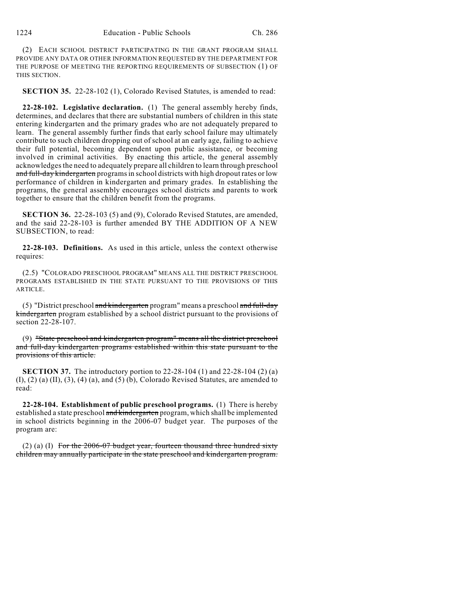(2) EACH SCHOOL DISTRICT PARTICIPATING IN THE GRANT PROGRAM SHALL PROVIDE ANY DATA OR OTHER INFORMATION REQUESTED BY THE DEPARTMENT FOR THE PURPOSE OF MEETING THE REPORTING REQUIREMENTS OF SUBSECTION (1) OF THIS SECTION.

**SECTION 35.** 22-28-102 (1), Colorado Revised Statutes, is amended to read:

**22-28-102. Legislative declaration.** (1) The general assembly hereby finds, determines, and declares that there are substantial numbers of children in this state entering kindergarten and the primary grades who are not adequately prepared to learn. The general assembly further finds that early school failure may ultimately contribute to such children dropping out of school at an early age, failing to achieve their full potential, becoming dependent upon public assistance, or becoming involved in criminal activities. By enacting this article, the general assembly acknowledges the need to adequately prepare all children to learn through preschool and full-day kindergarten programs in school districts with high dropout rates or low performance of children in kindergarten and primary grades. In establishing the programs, the general assembly encourages school districts and parents to work together to ensure that the children benefit from the programs.

**SECTION 36.** 22-28-103 (5) and (9), Colorado Revised Statutes, are amended, and the said 22-28-103 is further amended BY THE ADDITION OF A NEW SUBSECTION, to read:

**22-28-103. Definitions.** As used in this article, unless the context otherwise requires:

(2.5) "COLORADO PRESCHOOL PROGRAM" MEANS ALL THE DISTRICT PRESCHOOL PROGRAMS ESTABLISHED IN THE STATE PURSUANT TO THE PROVISIONS OF THIS **ARTICLE** 

(5) "District preschool and kindergarten program" means a preschool and full-day kindergarten program established by a school district pursuant to the provisions of section 22-28-107.

(9) "State preschool and kindergarten program" means all the district preschool and full-day kindergarten programs established within this state pursuant to the provisions of this article.

**SECTION 37.** The introductory portion to 22-28-104 (1) and 22-28-104 (2) (a)  $(I), (2)$  (a)  $(II), (3), (4)$  (a), and  $(5)$  (b), Colorado Revised Statutes, are amended to read:

**22-28-104. Establishment of public preschool programs.** (1) There is hereby established a state preschool and kindergarten program, which shall be implemented in school districts beginning in the 2006-07 budget year. The purposes of the program are:

(2) (a) (I) For the  $2006-07$  budget year, fourteen thousand three hundred sixty children may annually participate in the state preschool and kindergarten program.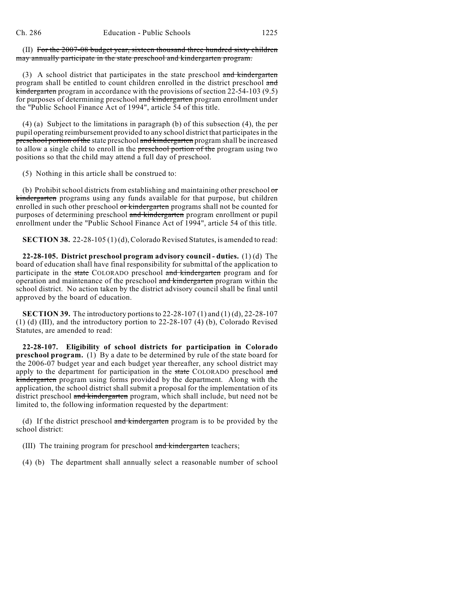(II) For the 2007-08 budget year, sixteen thousand three hundred sixty children may annually participate in the state preschool and kindergarten program.

(3) A school district that participates in the state preschool and kindergarten program shall be entitled to count children enrolled in the district preschool and kindergarten program in accordance with the provisions of section 22-54-103 (9.5) for purposes of determining preschool and kindergarten program enrollment under the "Public School Finance Act of 1994", article 54 of this title.

(4) (a) Subject to the limitations in paragraph (b) of this subsection (4), the per pupil operating reimbursement provided to any school district that participates in the preschool portion of the state preschool and kindergarten program shall be increased to allow a single child to enroll in the preschool portion of the program using two positions so that the child may attend a full day of preschool.

(5) Nothing in this article shall be construed to:

(b) Prohibit school districts from establishing and maintaining other preschool or kindergarten programs using any funds available for that purpose, but children enrolled in such other preschool or kindergarten programs shall not be counted for purposes of determining preschool and kindergarten program enrollment or pupil enrollment under the "Public School Finance Act of 1994", article 54 of this title.

**SECTION 38.** 22-28-105 (1) (d), Colorado Revised Statutes, is amended to read:

**22-28-105. District preschool program advisory council - duties.** (1) (d) The board of education shall have final responsibility for submittal of the application to participate in the state COLORADO preschool and kindergarten program and for operation and maintenance of the preschool and kindergarten program within the school district. No action taken by the district advisory council shall be final until approved by the board of education.

**SECTION 39.** The introductory portions to 22-28-107 (1) and (1) (d), 22-28-107 (1) (d) (III), and the introductory portion to 22-28-107 (4) (b), Colorado Revised Statutes, are amended to read:

**22-28-107. Eligibility of school districts for participation in Colorado preschool program.** (1) By a date to be determined by rule of the state board for the 2006-07 budget year and each budget year thereafter, any school district may apply to the department for participation in the state COLORADO preschool and kindergarten program using forms provided by the department. Along with the application, the school district shall submit a proposal for the implementation of its district preschool and kindergarten program, which shall include, but need not be limited to, the following information requested by the department:

(d) If the district preschool and kindergarten program is to be provided by the school district:

(III) The training program for preschool and kindergarten teachers;

(4) (b) The department shall annually select a reasonable number of school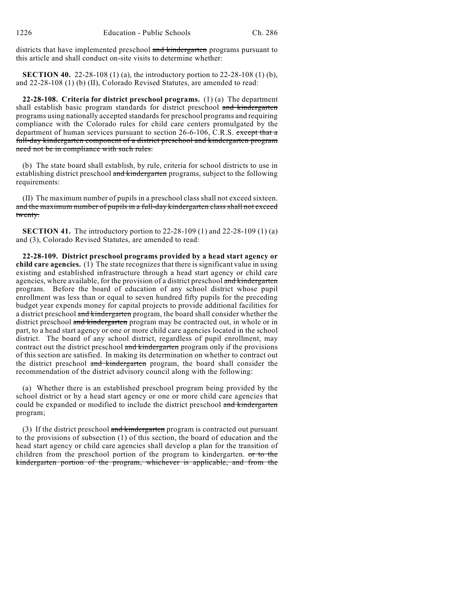districts that have implemented preschool and kindergarten programs pursuant to this article and shall conduct on-site visits to determine whether:

**SECTION 40.** 22-28-108 (1) (a), the introductory portion to 22-28-108 (1) (b), and 22-28-108 (1) (b) (II), Colorado Revised Statutes, are amended to read:

**22-28-108. Criteria for district preschool programs.** (1) (a) The department shall establish basic program standards for district preschool and kindergarten programs using nationally accepted standards for preschool programs and requiring compliance with the Colorado rules for child care centers promulgated by the department of human services pursuant to section 26-6-106, C.R.S. except that a full-day kindergarten component of a district preschool and kindergarten program need not be in compliance with such rules.

(b) The state board shall establish, by rule, criteria for school districts to use in establishing district preschool and kindergarten programs, subject to the following requirements:

(II) The maximum number of pupils in a preschool class shall not exceed sixteen. and the maximum number of pupils in a full-day kindergarten class shall not exceed twenty.

**SECTION 41.** The introductory portion to 22-28-109 (1) and 22-28-109 (1) (a) and (3), Colorado Revised Statutes, are amended to read:

**22-28-109. District preschool programs provided by a head start agency or child care agencies.** (1) The state recognizes that there is significant value in using existing and established infrastructure through a head start agency or child care agencies, where available, for the provision of a district preschool and kindergarten program. Before the board of education of any school district whose pupil enrollment was less than or equal to seven hundred fifty pupils for the preceding budget year expends money for capital projects to provide additional facilities for a district preschool and kindergarten program, the board shall consider whether the district preschool and kindergarten program may be contracted out, in whole or in part, to a head start agency or one or more child care agencies located in the school district. The board of any school district, regardless of pupil enrollment, may contract out the district preschool and kindergarten program only if the provisions of this section are satisfied. In making its determination on whether to contract out the district preschool and kindergarten program, the board shall consider the recommendation of the district advisory council along with the following:

(a) Whether there is an established preschool program being provided by the school district or by a head start agency or one or more child care agencies that could be expanded or modified to include the district preschool and kindergarten program;

(3) If the district preschool and kindergarten program is contracted out pursuant to the provisions of subsection (1) of this section, the board of education and the head start agency or child care agencies shall develop a plan for the transition of children from the preschool portion of the program to kindergarten. or to the kindergarten portion of the program, whichever is applicable, and from the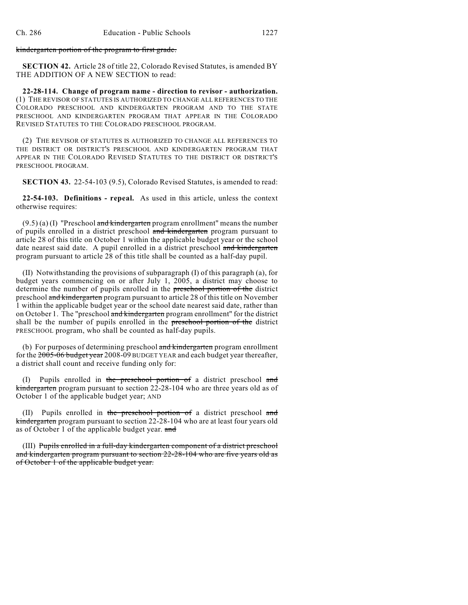kindergarten portion of the program to first grade.

**SECTION 42.** Article 28 of title 22, Colorado Revised Statutes, is amended BY THE ADDITION OF A NEW SECTION to read:

**22-28-114. Change of program name - direction to revisor - authorization.** (1) THE REVISOR OF STATUTES IS AUTHORIZED TO CHANGE ALL REFERENCES TO THE COLORADO PRESCHOOL AND KINDERGARTEN PROGRAM AND TO THE STATE PRESCHOOL AND KINDERGARTEN PROGRAM THAT APPEAR IN THE COLORADO REVISED STATUTES TO THE COLORADO PRESCHOOL PROGRAM.

(2) THE REVISOR OF STATUTES IS AUTHORIZED TO CHANGE ALL REFERENCES TO THE DISTRICT OR DISTRICT'S PRESCHOOL AND KINDERGARTEN PROGRAM THAT APPEAR IN THE COLORADO REVISED STATUTES TO THE DISTRICT OR DISTRICT'S PRESCHOOL PROGRAM.

**SECTION 43.** 22-54-103 (9.5), Colorado Revised Statutes, is amended to read:

**22-54-103. Definitions - repeal.** As used in this article, unless the context otherwise requires:

 $(9.5)$  (a) (I) "Preschool and kindergarten program enrollment" means the number of pupils enrolled in a district preschool and kindergarten program pursuant to article 28 of this title on October 1 within the applicable budget year or the school date nearest said date. A pupil enrolled in a district preschool and kindergarten program pursuant to article 28 of this title shall be counted as a half-day pupil.

(II) Notwithstanding the provisions of subparagraph (I) of this paragraph (a), for budget years commencing on or after July 1, 2005, a district may choose to determine the number of pupils enrolled in the preschool portion of the district preschool and kindergarten program pursuant to article 28 of this title on November 1 within the applicable budget year or the school date nearest said date, rather than on October 1. The "preschool and kindergarten program enrollment" for the district shall be the number of pupils enrolled in the preschool portion of the district PRESCHOOL program, who shall be counted as half-day pupils.

(b) For purposes of determining preschool and kindergarten program enrollment for the 2005-06 budget year 2008-09 BUDGET YEAR and each budget year thereafter, a district shall count and receive funding only for:

(I) Pupils enrolled in the preschool portion of a district preschool and kindergarten program pursuant to section 22-28-104 who are three years old as of October 1 of the applicable budget year; AND

(II) Pupils enrolled in the preschool portion of a district preschool and kindergarten program pursuant to section 22-28-104 who are at least four years old as of October 1 of the applicable budget year. and

(III) Pupils enrolled in a full-day kindergarten component of a district preschool and kindergarten program pursuant to section 22-28-104 who are five years old as of October 1 of the applicable budget year.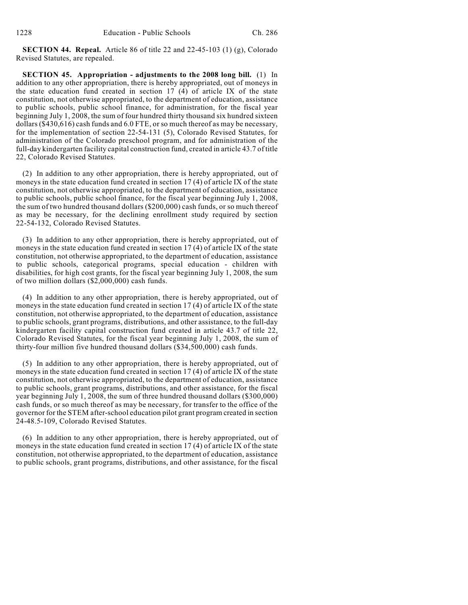**SECTION 44. Repeal.** Article 86 of title 22 and 22-45-103 (1) (g), Colorado Revised Statutes, are repealed.

**SECTION 45. Appropriation - adjustments to the 2008 long bill.** (1) In addition to any other appropriation, there is hereby appropriated, out of moneys in the state education fund created in section 17 (4) of article IX of the state constitution, not otherwise appropriated, to the department of education, assistance to public schools, public school finance, for administration, for the fiscal year beginning July 1, 2008, the sum of four hundred thirty thousand six hundred sixteen dollars (\$430,616) cash funds and 6.0 FTE, or so much thereof as may be necessary, for the implementation of section 22-54-131 (5), Colorado Revised Statutes, for administration of the Colorado preschool program, and for administration of the full-day kindergarten facility capital construction fund, created in article 43.7 of title 22, Colorado Revised Statutes.

(2) In addition to any other appropriation, there is hereby appropriated, out of moneys in the state education fund created in section 17 (4) of article IX of the state constitution, not otherwise appropriated, to the department of education, assistance to public schools, public school finance, for the fiscal year beginning July 1, 2008, the sum of two hundred thousand dollars (\$200,000) cash funds, or so much thereof as may be necessary, for the declining enrollment study required by section 22-54-132, Colorado Revised Statutes.

(3) In addition to any other appropriation, there is hereby appropriated, out of moneys in the state education fund created in section 17 (4) of article IX of the state constitution, not otherwise appropriated, to the department of education, assistance to public schools, categorical programs, special education - children with disabilities, for high cost grants, for the fiscal year beginning July 1, 2008, the sum of two million dollars (\$2,000,000) cash funds.

(4) In addition to any other appropriation, there is hereby appropriated, out of moneys in the state education fund created in section 17 (4) of article IX of the state constitution, not otherwise appropriated, to the department of education, assistance to public schools, grant programs, distributions, and other assistance, to the full-day kindergarten facility capital construction fund created in article 43.7 of title 22, Colorado Revised Statutes, for the fiscal year beginning July 1, 2008, the sum of thirty-four million five hundred thousand dollars (\$34,500,000) cash funds.

(5) In addition to any other appropriation, there is hereby appropriated, out of moneys in the state education fund created in section 17 (4) of article IX of the state constitution, not otherwise appropriated, to the department of education, assistance to public schools, grant programs, distributions, and other assistance, for the fiscal year beginning July 1, 2008, the sum of three hundred thousand dollars (\$300,000) cash funds, or so much thereof as may be necessary, for transfer to the office of the governor for the STEM after-school education pilot grant program created in section 24-48.5-109, Colorado Revised Statutes.

(6) In addition to any other appropriation, there is hereby appropriated, out of moneys in the state education fund created in section 17 (4) of article IX of the state constitution, not otherwise appropriated, to the department of education, assistance to public schools, grant programs, distributions, and other assistance, for the fiscal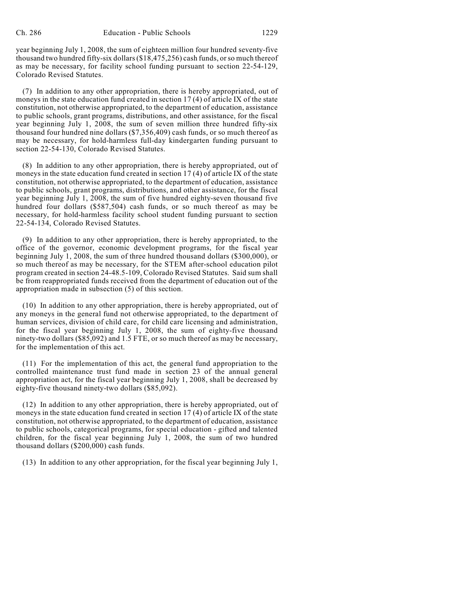year beginning July 1, 2008, the sum of eighteen million four hundred seventy-five thousand two hundred fifty-six dollars (\$18,475,256) cash funds, or so much thereof as may be necessary, for facility school funding pursuant to section 22-54-129, Colorado Revised Statutes.

(7) In addition to any other appropriation, there is hereby appropriated, out of moneys in the state education fund created in section 17 (4) of article IX of the state constitution, not otherwise appropriated, to the department of education, assistance to public schools, grant programs, distributions, and other assistance, for the fiscal year beginning July 1, 2008, the sum of seven million three hundred fifty-six thousand four hundred nine dollars (\$7,356,409) cash funds, or so much thereof as may be necessary, for hold-harmless full-day kindergarten funding pursuant to section 22-54-130, Colorado Revised Statutes.

(8) In addition to any other appropriation, there is hereby appropriated, out of moneys in the state education fund created in section 17 (4) of article IX of the state constitution, not otherwise appropriated, to the department of education, assistance to public schools, grant programs, distributions, and other assistance, for the fiscal year beginning July 1, 2008, the sum of five hundred eighty-seven thousand five hundred four dollars (\$587,504) cash funds, or so much thereof as may be necessary, for hold-harmless facility school student funding pursuant to section 22-54-134, Colorado Revised Statutes.

(9) In addition to any other appropriation, there is hereby appropriated, to the office of the governor, economic development programs, for the fiscal year beginning July 1, 2008, the sum of three hundred thousand dollars (\$300,000), or so much thereof as may be necessary, for the STEM after-school education pilot program created in section 24-48.5-109, Colorado Revised Statutes. Said sum shall be from reappropriated funds received from the department of education out of the appropriation made in subsection (5) of this section.

(10) In addition to any other appropriation, there is hereby appropriated, out of any moneys in the general fund not otherwise appropriated, to the department of human services, division of child care, for child care licensing and administration, for the fiscal year beginning July 1, 2008, the sum of eighty-five thousand ninety-two dollars (\$85,092) and 1.5 FTE, or so much thereof as may be necessary, for the implementation of this act.

(11) For the implementation of this act, the general fund appropriation to the controlled maintenance trust fund made in section 23 of the annual general appropriation act, for the fiscal year beginning July 1, 2008, shall be decreased by eighty-five thousand ninety-two dollars (\$85,092).

(12) In addition to any other appropriation, there is hereby appropriated, out of moneys in the state education fund created in section 17 (4) of article IX of the state constitution, not otherwise appropriated, to the department of education, assistance to public schools, categorical programs, for special education - gifted and talented children, for the fiscal year beginning July 1, 2008, the sum of two hundred thousand dollars (\$200,000) cash funds.

(13) In addition to any other appropriation, for the fiscal year beginning July 1,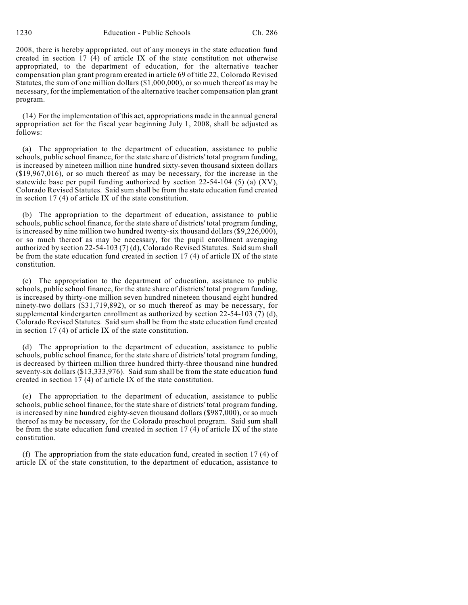2008, there is hereby appropriated, out of any moneys in the state education fund created in section 17 (4) of article IX of the state constitution not otherwise appropriated, to the department of education, for the alternative teacher compensation plan grant program created in article 69 of title 22, Colorado Revised Statutes, the sum of one million dollars (\$1,000,000), or so much thereof as may be necessary, for the implementation of the alternative teacher compensation plan grant program.

(14) For the implementation of this act, appropriations made in the annual general appropriation act for the fiscal year beginning July 1, 2008, shall be adjusted as follows:

(a) The appropriation to the department of education, assistance to public schools, public school finance, for the state share of districts' total program funding, is increased by nineteen million nine hundred sixty-seven thousand sixteen dollars (\$19,967,016), or so much thereof as may be necessary, for the increase in the statewide base per pupil funding authorized by section 22-54-104 (5) (a) (XV), Colorado Revised Statutes. Said sum shall be from the state education fund created in section 17 (4) of article IX of the state constitution.

(b) The appropriation to the department of education, assistance to public schools, public school finance, for the state share of districts' total program funding, is increased by nine million two hundred twenty-six thousand dollars  $(9,226,000)$ , or so much thereof as may be necessary, for the pupil enrollment averaging authorized by section 22-54-103 (7) (d), Colorado Revised Statutes. Said sum shall be from the state education fund created in section 17 (4) of article IX of the state constitution.

(c) The appropriation to the department of education, assistance to public schools, public school finance, for the state share of districts' total program funding, is increased by thirty-one million seven hundred nineteen thousand eight hundred ninety-two dollars (\$31,719,892), or so much thereof as may be necessary, for supplemental kindergarten enrollment as authorized by section 22-54-103 (7) (d), Colorado Revised Statutes. Said sum shall be from the state education fund created in section 17 (4) of article IX of the state constitution.

(d) The appropriation to the department of education, assistance to public schools, public school finance, for the state share of districts' total program funding, is decreased by thirteen million three hundred thirty-three thousand nine hundred seventy-six dollars (\$13,333,976). Said sum shall be from the state education fund created in section 17 (4) of article IX of the state constitution.

(e) The appropriation to the department of education, assistance to public schools, public school finance, for the state share of districts' total program funding, is increased by nine hundred eighty-seven thousand dollars (\$987,000), or so much thereof as may be necessary, for the Colorado preschool program. Said sum shall be from the state education fund created in section 17 (4) of article IX of the state constitution.

(f) The appropriation from the state education fund, created in section 17 (4) of article IX of the state constitution, to the department of education, assistance to